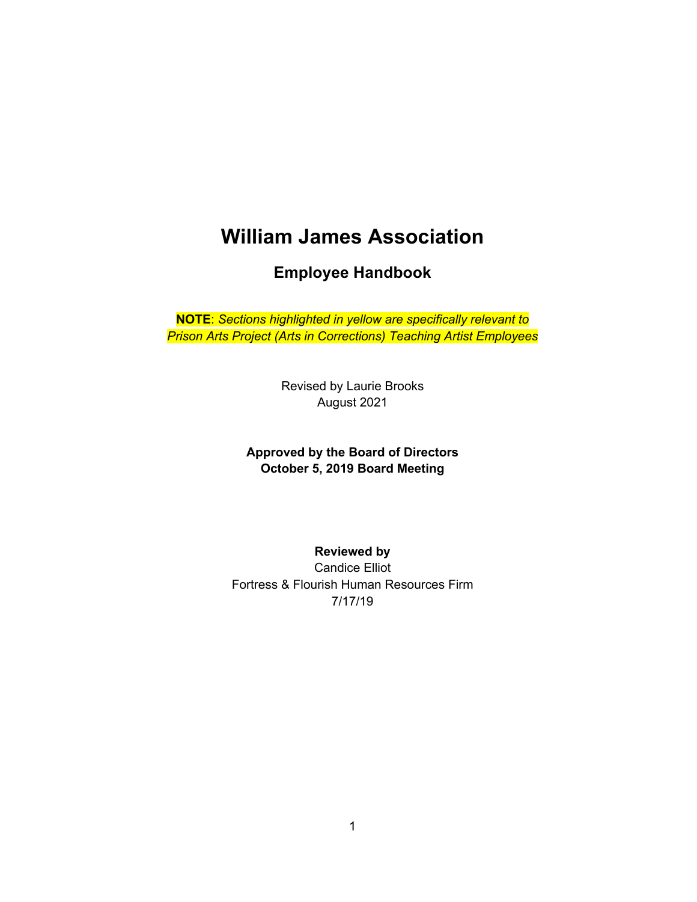# **William James Association**

**Employee Handbook**

**NOTE**: *Sections highlighted in yellow are specifically relevant to Prison Arts Project (Arts in Corrections) Teaching Artist Employees*

> Revised by Laurie Brooks August 2021

**Approved by the Board of Directors October 5, 2019 Board Meeting**

**Reviewed by**  Candice Elliot Fortress & Flourish Human Resources Firm 7/17/19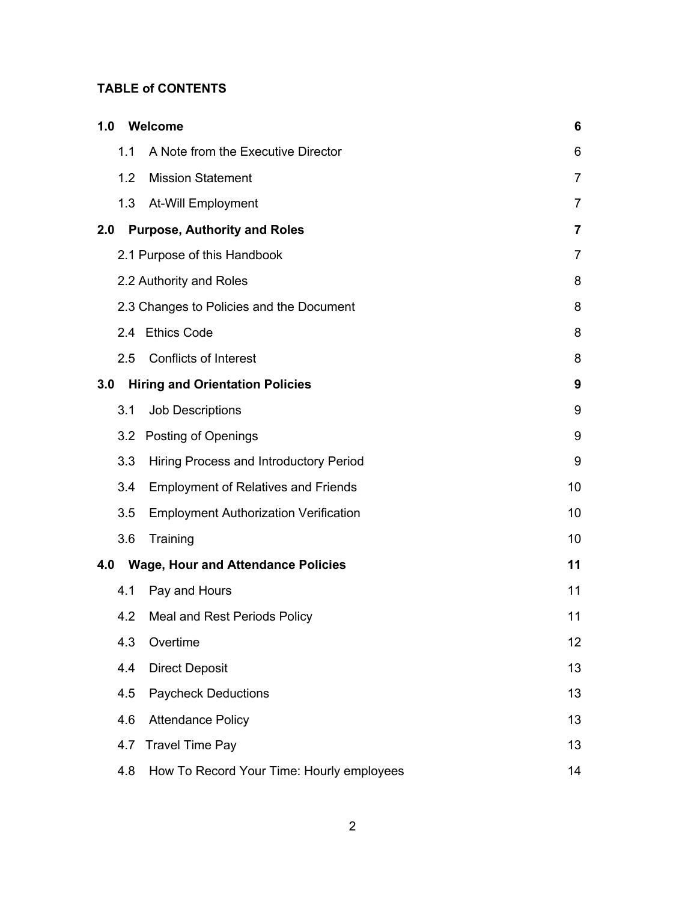#### **TABLE of CONTENTS**

| 1.0 |     | Welcome                                      | 6              |
|-----|-----|----------------------------------------------|----------------|
|     | 1.1 | A Note from the Executive Director           | 6              |
|     | 1.2 | <b>Mission Statement</b>                     | 7              |
|     | 1.3 | At-Will Employment                           | 7              |
| 2.0 |     | <b>Purpose, Authority and Roles</b>          | $\overline{7}$ |
|     |     | 2.1 Purpose of this Handbook                 | $\overline{7}$ |
|     |     | 2.2 Authority and Roles                      | 8              |
|     |     | 2.3 Changes to Policies and the Document     | 8              |
|     | 2.4 | <b>Ethics Code</b>                           | 8              |
|     | 2.5 | <b>Conflicts of Interest</b>                 | 8              |
| 3.0 |     | <b>Hiring and Orientation Policies</b>       | 9              |
|     | 3.1 | <b>Job Descriptions</b>                      | 9              |
|     |     | 3.2 Posting of Openings                      | 9              |
|     | 3.3 | Hiring Process and Introductory Period       | 9              |
|     | 3.4 | <b>Employment of Relatives and Friends</b>   | 10             |
|     | 3.5 | <b>Employment Authorization Verification</b> | 10             |
|     | 3.6 | Training                                     | 10             |
| 4.0 |     | <b>Wage, Hour and Attendance Policies</b>    | 11             |
|     | 4.1 | Pay and Hours                                | 11             |
|     | 4.2 | Meal and Rest Periods Policy                 | 11             |
|     | 4.3 | Overtime                                     | 12             |
|     | 4.4 | <b>Direct Deposit</b>                        | 13             |
|     | 4.5 | <b>Paycheck Deductions</b>                   | 13             |
|     | 4.6 | <b>Attendance Policy</b>                     | 13             |
|     | 4.7 | <b>Travel Time Pay</b>                       | 13             |
|     | 4.8 | How To Record Your Time: Hourly employees    | 14             |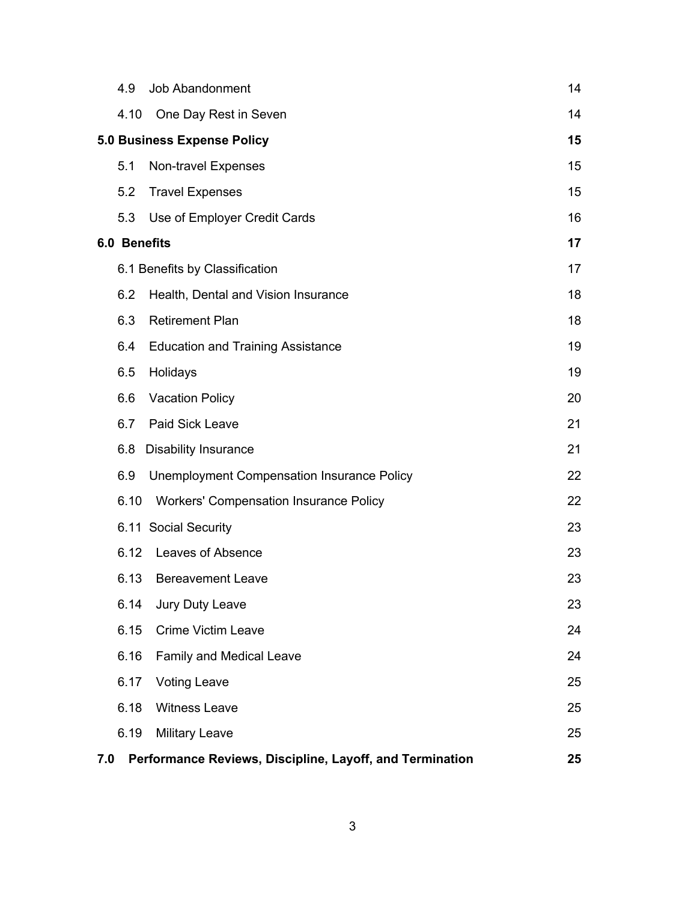|     | 4.9                 | Job Abandonment                                          | 14 |
|-----|---------------------|----------------------------------------------------------|----|
|     | 4.10                | One Day Rest in Seven                                    | 14 |
|     |                     | <b>5.0 Business Expense Policy</b>                       | 15 |
|     | 5.1                 | Non-travel Expenses                                      | 15 |
|     | 5.2                 | <b>Travel Expenses</b>                                   | 15 |
|     | 5.3                 | Use of Employer Credit Cards                             | 16 |
|     | <b>6.0 Benefits</b> |                                                          | 17 |
|     |                     | 6.1 Benefits by Classification                           | 17 |
|     | 6.2                 | Health, Dental and Vision Insurance                      | 18 |
|     | 6.3                 | <b>Retirement Plan</b>                                   | 18 |
|     | 6.4                 | <b>Education and Training Assistance</b>                 | 19 |
|     | 6.5                 | Holidays                                                 | 19 |
|     | 6.6                 | <b>Vacation Policy</b>                                   | 20 |
|     | 6.7                 | Paid Sick Leave                                          | 21 |
|     | 6.8                 | <b>Disability Insurance</b>                              | 21 |
|     | 6.9                 | <b>Unemployment Compensation Insurance Policy</b>        | 22 |
|     | 6.10                | <b>Workers' Compensation Insurance Policy</b>            | 22 |
|     |                     | 6.11 Social Security                                     | 23 |
|     | 6.12                | Leaves of Absence                                        | 23 |
|     | 6.13                | <b>Bereavement Leave</b>                                 | 23 |
|     | 6.14                | Jury Duty Leave                                          | 23 |
|     | 6.15                | <b>Crime Victim Leave</b>                                | 24 |
|     | 6.16                | <b>Family and Medical Leave</b>                          | 24 |
|     | 6.17                | <b>Voting Leave</b>                                      | 25 |
|     | 6.18                | <b>Witness Leave</b>                                     | 25 |
|     | 6.19                | <b>Military Leave</b>                                    | 25 |
| 7.0 |                     | Performance Reviews, Discipline, Layoff, and Termination | 25 |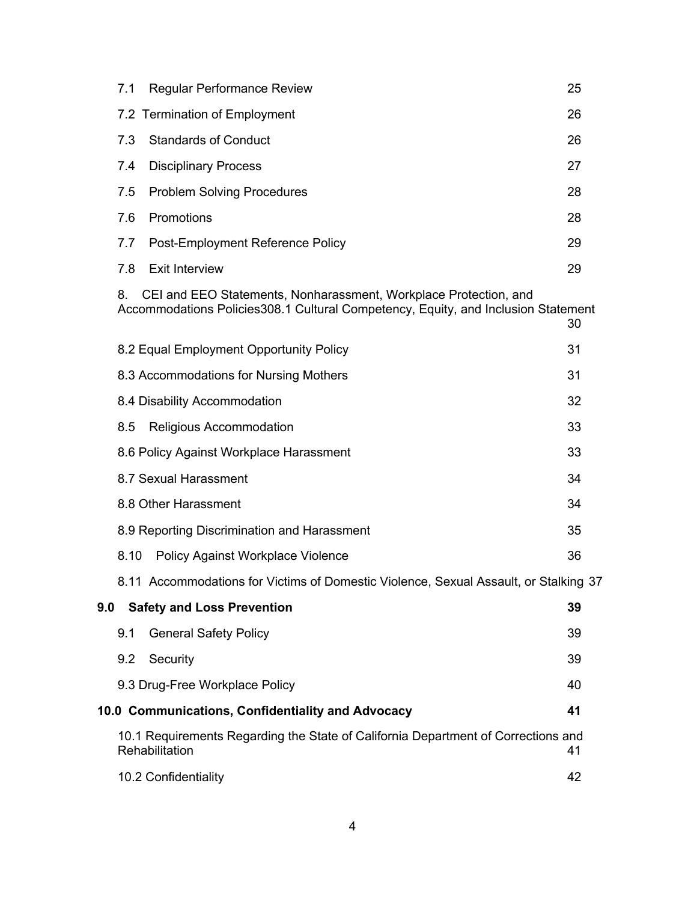|                                                         | 7.1<br><b>Regular Performance Review</b>                                                                                                                    | 25 |  |  |
|---------------------------------------------------------|-------------------------------------------------------------------------------------------------------------------------------------------------------------|----|--|--|
|                                                         | 7.2 Termination of Employment                                                                                                                               | 26 |  |  |
|                                                         | 7.3<br><b>Standards of Conduct</b>                                                                                                                          | 26 |  |  |
|                                                         | 7.4<br><b>Disciplinary Process</b>                                                                                                                          | 27 |  |  |
|                                                         | <b>Problem Solving Procedures</b><br>7.5                                                                                                                    | 28 |  |  |
|                                                         | 7.6<br>Promotions                                                                                                                                           | 28 |  |  |
|                                                         | 7.7<br>Post-Employment Reference Policy                                                                                                                     | 29 |  |  |
|                                                         | 7.8<br><b>Exit Interview</b>                                                                                                                                | 29 |  |  |
|                                                         | CEI and EEO Statements, Nonharassment, Workplace Protection, and<br>8.<br>Accommodations Policies308.1 Cultural Competency, Equity, and Inclusion Statement | 30 |  |  |
|                                                         | 8.2 Equal Employment Opportunity Policy                                                                                                                     | 31 |  |  |
|                                                         | 8.3 Accommodations for Nursing Mothers                                                                                                                      | 31 |  |  |
|                                                         | 8.4 Disability Accommodation                                                                                                                                | 32 |  |  |
|                                                         | 8.5<br>Religious Accommodation                                                                                                                              | 33 |  |  |
|                                                         | 8.6 Policy Against Workplace Harassment                                                                                                                     | 33 |  |  |
|                                                         | 8.7 Sexual Harassment                                                                                                                                       | 34 |  |  |
|                                                         | 8.8 Other Harassment                                                                                                                                        | 34 |  |  |
|                                                         | 8.9 Reporting Discrimination and Harassment                                                                                                                 | 35 |  |  |
|                                                         | 8.10<br><b>Policy Against Workplace Violence</b>                                                                                                            | 36 |  |  |
|                                                         | 8.11 Accommodations for Victims of Domestic Violence, Sexual Assault, or Stalking 37                                                                        |    |  |  |
| 9.0                                                     | <b>Safety and Loss Prevention</b>                                                                                                                           | 39 |  |  |
|                                                         | <b>General Safety Policy</b><br>9.1                                                                                                                         | 39 |  |  |
|                                                         | 9.2<br>Security                                                                                                                                             | 39 |  |  |
|                                                         | 9.3 Drug-Free Workplace Policy                                                                                                                              | 40 |  |  |
| 10.0 Communications, Confidentiality and Advocacy<br>41 |                                                                                                                                                             |    |  |  |
|                                                         | 10.1 Requirements Regarding the State of California Department of Corrections and<br>Rehabilitation                                                         | 41 |  |  |
|                                                         | 10.2 Confidentiality                                                                                                                                        | 42 |  |  |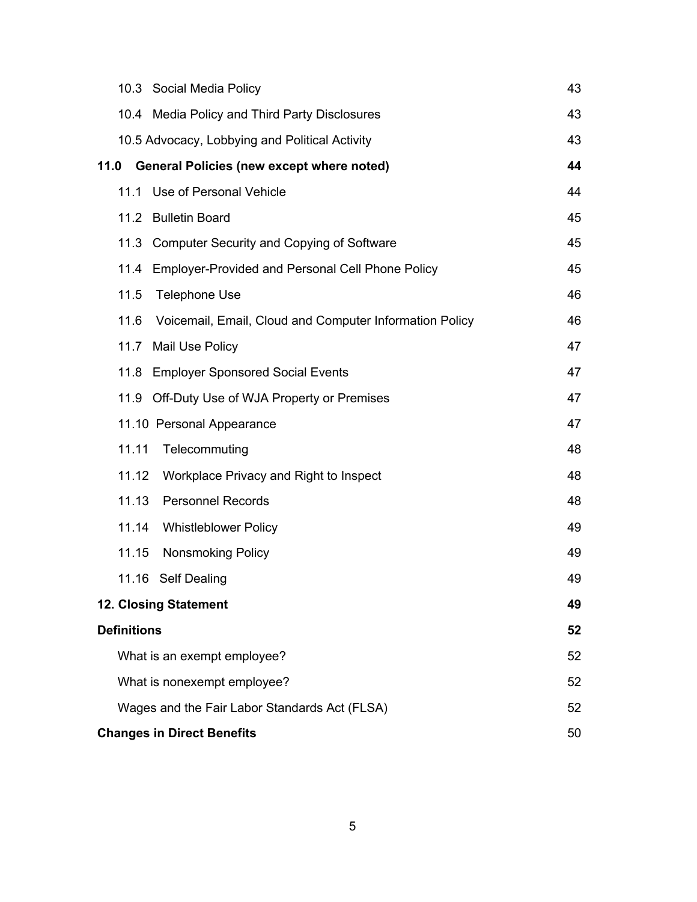| 10.3 Social Media Policy                                        | 43 |  |
|-----------------------------------------------------------------|----|--|
| 10.4 Media Policy and Third Party Disclosures                   | 43 |  |
| 10.5 Advocacy, Lobbying and Political Activity                  | 43 |  |
| <b>General Policies (new except where noted)</b><br>11.0        | 44 |  |
| Use of Personal Vehicle<br>11.1                                 | 44 |  |
| 11.2 Bulletin Board                                             | 45 |  |
| 11.3 Computer Security and Copying of Software                  | 45 |  |
| <b>Employer-Provided and Personal Cell Phone Policy</b><br>11.4 | 45 |  |
| 11.5<br><b>Telephone Use</b>                                    | 46 |  |
| 11.6<br>Voicemail, Email, Cloud and Computer Information Policy | 46 |  |
| Mail Use Policy<br>11.7                                         | 47 |  |
| 11.8<br><b>Employer Sponsored Social Events</b>                 | 47 |  |
| 11.9<br>Off-Duty Use of WJA Property or Premises                | 47 |  |
| 11.10 Personal Appearance                                       | 47 |  |
| 11.11<br>Telecommuting                                          | 48 |  |
| 11.12<br>Workplace Privacy and Right to Inspect                 | 48 |  |
| 11.13<br><b>Personnel Records</b>                               | 48 |  |
| 11.14<br><b>Whistleblower Policy</b>                            | 49 |  |
| 11.15<br><b>Nonsmoking Policy</b>                               | 49 |  |
| 11.16 Self Dealing                                              | 49 |  |
| <b>12. Closing Statement</b>                                    | 49 |  |
| <b>Definitions</b>                                              |    |  |
| What is an exempt employee?                                     | 52 |  |
| What is nonexempt employee?                                     | 52 |  |
| Wages and the Fair Labor Standards Act (FLSA)                   | 52 |  |
| <b>Changes in Direct Benefits</b><br>50                         |    |  |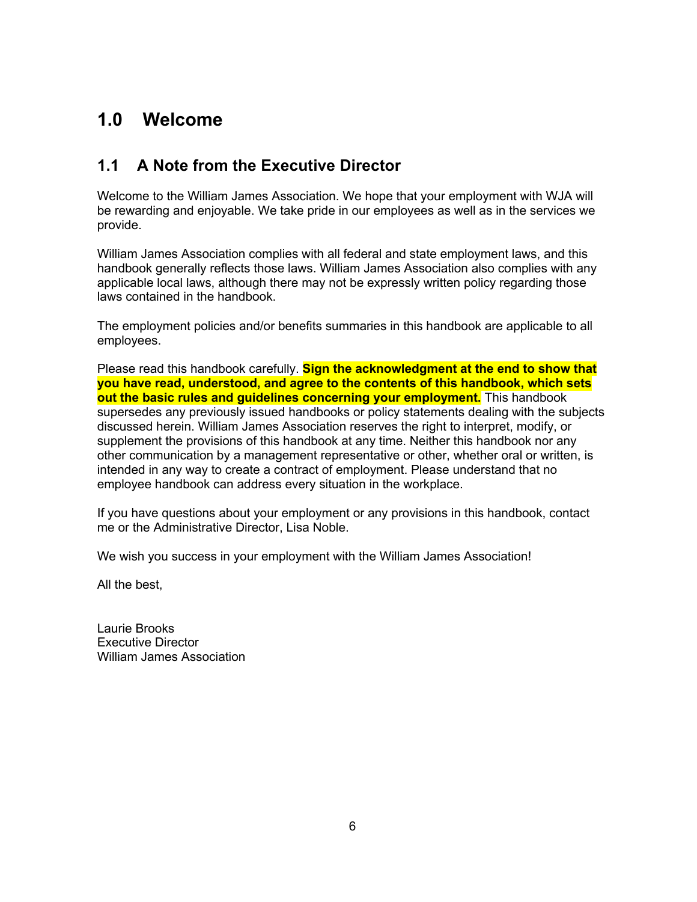# **1.0 Welcome**

### **1.1 A Note from the Executive Director**

Welcome to the William James Association. We hope that your employment with WJA will be rewarding and enjoyable. We take pride in our employees as well as in the services we provide.

William James Association complies with all federal and state employment laws, and this handbook generally reflects those laws. William James Association also complies with any applicable local laws, although there may not be expressly written policy regarding those laws contained in the handbook.

The employment policies and/or benefits summaries in this handbook are applicable to all employees.

Please read this handbook carefully. **Sign the acknowledgment at the end to show that you have read, understood, and agree to the contents of this handbook, which sets out the basic rules and guidelines concerning your employment.** This handbook supersedes any previously issued handbooks or policy statements dealing with the subjects discussed herein. William James Association reserves the right to interpret, modify, or supplement the provisions of this handbook at any time. Neither this handbook nor any other communication by a management representative or other, whether oral or written, is intended in any way to create a contract of employment. Please understand that no employee handbook can address every situation in the workplace.

If you have questions about your employment or any provisions in this handbook, contact me or the Administrative Director, Lisa Noble.

We wish you success in your employment with the William James Association!

All the best,

Laurie Brooks Executive Director William James Association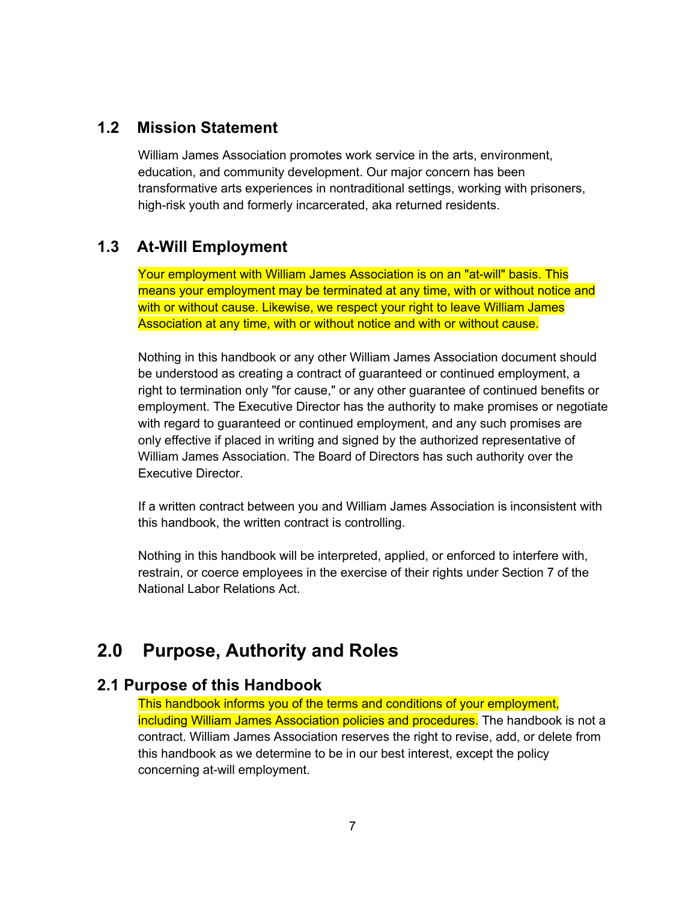### **1.2 Mission Statement**

William James Association promotes work service in the arts, environment, education, and community development. Our major concern has been transformative arts experiences in nontraditional settings, working with prisoners, high-risk youth and formerly incarcerated, aka returned residents.

#### **1.3 At-Will Employment**

Your employment with William James Association is on an "at-will" basis. This means your employment may be terminated at any time, with or without notice and with or without cause. Likewise, we respect your right to leave William James Association at any time, with or without notice and with or without cause.

Nothing in this handbook or any other William James Association document should be understood as creating a contract of guaranteed or continued employment, a right to termination only "for cause," or any other guarantee of continued benefits or employment. The Executive Director has the authority to make promises or negotiate with regard to guaranteed or continued employment, and any such promises are only effective if placed in writing and signed by the authorized representative of William James Association. The Board of Directors has such authority over the Executive Director.

If a written contract between you and William James Association is inconsistent with this handbook, the written contract is controlling.

Nothing in this handbook will be interpreted, applied, or enforced to interfere with, restrain, or coerce employees in the exercise of their rights under Section 7 of the National Labor Relations Act.

## **2.0 Purpose, Authority and Roles**

#### **2.1 Purpose of this Handbook**

This handbook informs you of the terms and conditions of your employment, including William James Association policies and procedures. The handbook is not a contract. William James Association reserves the right to revise, add, or delete from this handbook as we determine to be in our best interest, except the policy concerning at-will employment.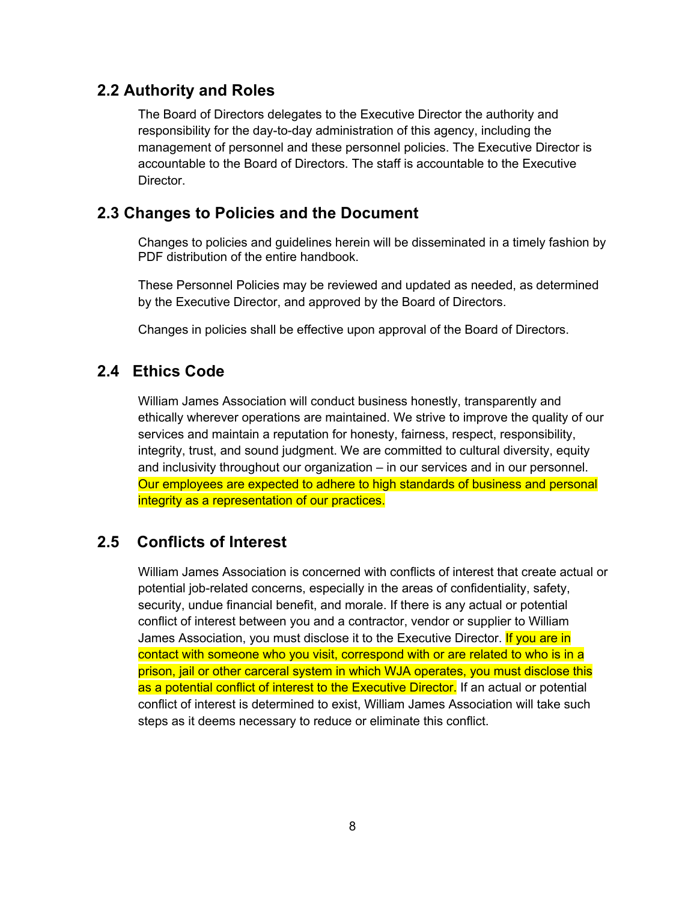### **2.2 Authority and Roles**

The Board of Directors delegates to the Executive Director the authority and responsibility for the day-to-day administration of this agency, including the management of personnel and these personnel policies. The Executive Director is accountable to the Board of Directors. The staff is accountable to the Executive **Director** 

### **2.3 Changes to Policies and the Document**

Changes to policies and guidelines herein will be disseminated in a timely fashion by PDF distribution of the entire handbook.

These Personnel Policies may be reviewed and updated as needed, as determined by the Executive Director, and approved by the Board of Directors.

Changes in policies shall be effective upon approval of the Board of Directors.

### **2.4 Ethics Code**

William James Association will conduct business honestly, transparently and ethically wherever operations are maintained. We strive to improve the quality of our services and maintain a reputation for honesty, fairness, respect, responsibility, integrity, trust, and sound judgment. We are committed to cultural diversity, equity and inclusivity throughout our organization – in our services and in our personnel. Our employees are expected to adhere to high standards of business and personal integrity as a representation of our practices.

### **2.5 Conflicts of Interest**

William James Association is concerned with conflicts of interest that create actual or potential job-related concerns, especially in the areas of confidentiality, safety, security, undue financial benefit, and morale. If there is any actual or potential conflict of interest between you and a contractor, vendor or supplier to William James Association, you must disclose it to the Executive Director. If you are in contact with someone who you visit, correspond with or are related to who is in a prison, jail or other carceral system in which WJA operates, you must disclose this as a potential conflict of interest to the Executive Director. If an actual or potential conflict of interest is determined to exist, William James Association will take such steps as it deems necessary to reduce or eliminate this conflict.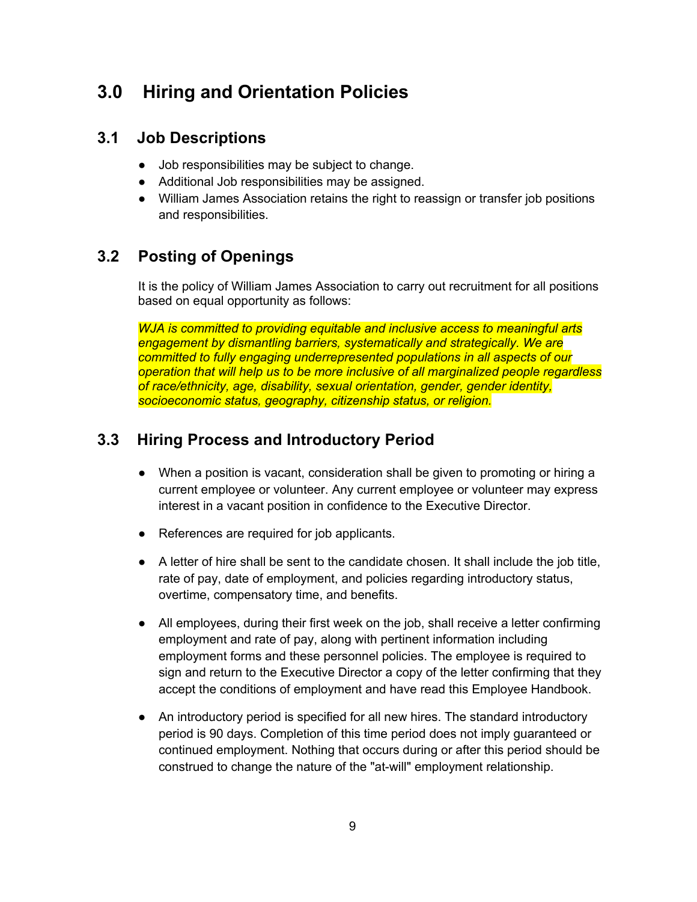# **3.0 Hiring and Orientation Policies**

### **3.1 Job Descriptions**

- Job responsibilities may be subject to change.
- Additional Job responsibilities may be assigned.
- William James Association retains the right to reassign or transfer job positions and responsibilities.

### **3.2 Posting of Openings**

It is the policy of William James Association to carry out recruitment for all positions based on equal opportunity as follows:

*WJA is committed to providing equitable and inclusive access to meaningful arts engagement by dismantling barriers, systematically and strategically. We are committed to fully engaging underrepresented populations in all aspects of our operation that will help us to be more inclusive of all marginalized people regardless of race/ethnicity, age, disability, sexual orientation, gender, gender identity, socioeconomic status, geography, citizenship status, or religion.*

### **3.3 Hiring Process and Introductory Period**

- When a position is vacant, consideration shall be given to promoting or hiring a current employee or volunteer. Any current employee or volunteer may express interest in a vacant position in confidence to the Executive Director.
- References are required for job applicants.
- A letter of hire shall be sent to the candidate chosen. It shall include the job title, rate of pay, date of employment, and policies regarding introductory status, overtime, compensatory time, and benefits.
- All employees, during their first week on the job, shall receive a letter confirming employment and rate of pay, along with pertinent information including employment forms and these personnel policies. The employee is required to sign and return to the Executive Director a copy of the letter confirming that they accept the conditions of employment and have read this Employee Handbook.
- An introductory period is specified for all new hires. The standard introductory period is 90 days. Completion of this time period does not imply guaranteed or continued employment. Nothing that occurs during or after this period should be construed to change the nature of the "at-will" employment relationship.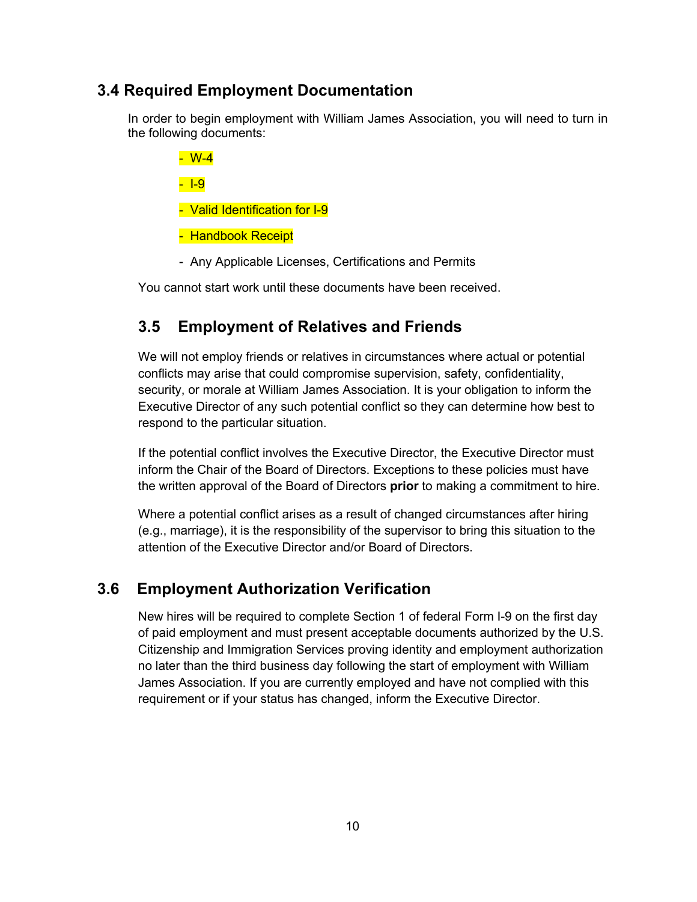### **3.4 Required Employment Documentation**

In order to begin employment with William James Association, you will need to turn in the following documents:

- W-4

- I-9

- Valid Identification for I-9
- Handbook Receipt
- Any Applicable Licenses, Certifications and Permits

You cannot start work until these documents have been received.

### **3.5 Employment of Relatives and Friends**

We will not employ friends or relatives in circumstances where actual or potential conflicts may arise that could compromise supervision, safety, confidentiality, security, or morale at William James Association. It is your obligation to inform the Executive Director of any such potential conflict so they can determine how best to respond to the particular situation.

If the potential conflict involves the Executive Director, the Executive Director must inform the Chair of the Board of Directors. Exceptions to these policies must have the written approval of the Board of Directors **prior** to making a commitment to hire.

Where a potential conflict arises as a result of changed circumstances after hiring (e.g., marriage), it is the responsibility of the supervisor to bring this situation to the attention of the Executive Director and/or Board of Directors.

### **3.6 Employment Authorization Verification**

New hires will be required to complete Section 1 of federal Form I-9 on the first day of paid employment and must present acceptable documents authorized by the U.S. Citizenship and Immigration Services proving identity and employment authorization no later than the third business day following the start of employment with William James Association. If you are currently employed and have not complied with this requirement or if your status has changed, inform the Executive Director.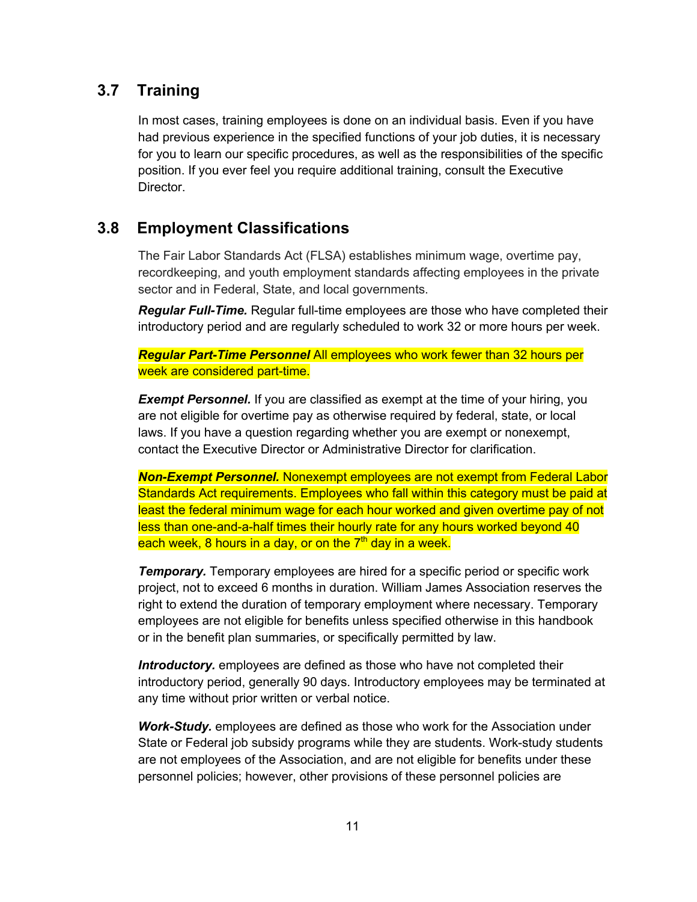### **3.7 Training**

In most cases, training employees is done on an individual basis. Even if you have had previous experience in the specified functions of your job duties, it is necessary for you to learn our specific procedures, as well as the responsibilities of the specific position. If you ever feel you require additional training, consult the Executive Director.

### **3.8 Employment Classifications**

The Fair Labor Standards Act (FLSA) establishes minimum wage, overtime pay, recordkeeping, and youth employment standards affecting employees in the private sector and in Federal, State, and local governments.

*Regular Full-Time.* Regular full-time employees are those who have completed their introductory period and are regularly scheduled to work 32 or more hours per week.

*Regular Part-Time Personnel* All employees who work fewer than 32 hours per week are considered part-time.

**Exempt Personnel.** If you are classified as exempt at the time of your hiring, you are not eligible for overtime pay as otherwise required by federal, state, or local laws. If you have a question regarding whether you are exempt or nonexempt, contact the Executive Director or Administrative Director for clarification.

*Non-Exempt Personnel.* Nonexempt employees are not exempt from Federal Labor Standards Act requirements. Employees who fall within this category must be paid at least the federal minimum wage for each hour worked and given overtime pay of not less than one-and-a-half times their hourly rate for any hours worked beyond 40 each week,  $8$  hours in a day, or on the  $7<sup>th</sup>$  day in a week.

*Temporary.* Temporary employees are hired for a specific period or specific work project, not to exceed 6 months in duration. William James Association reserves the right to extend the duration of temporary employment where necessary. Temporary employees are not eligible for benefits unless specified otherwise in this handbook or in the benefit plan summaries, or specifically permitted by law.

*Introductory.* employees are defined as those who have not completed their introductory period, generally 90 days. Introductory employees may be terminated at any time without prior written or verbal notice.

*Work-Study.* employees are defined as those who work for the Association under State or Federal job subsidy programs while they are students. Work-study students are not employees of the Association, and are not eligible for benefits under these personnel policies; however, other provisions of these personnel policies are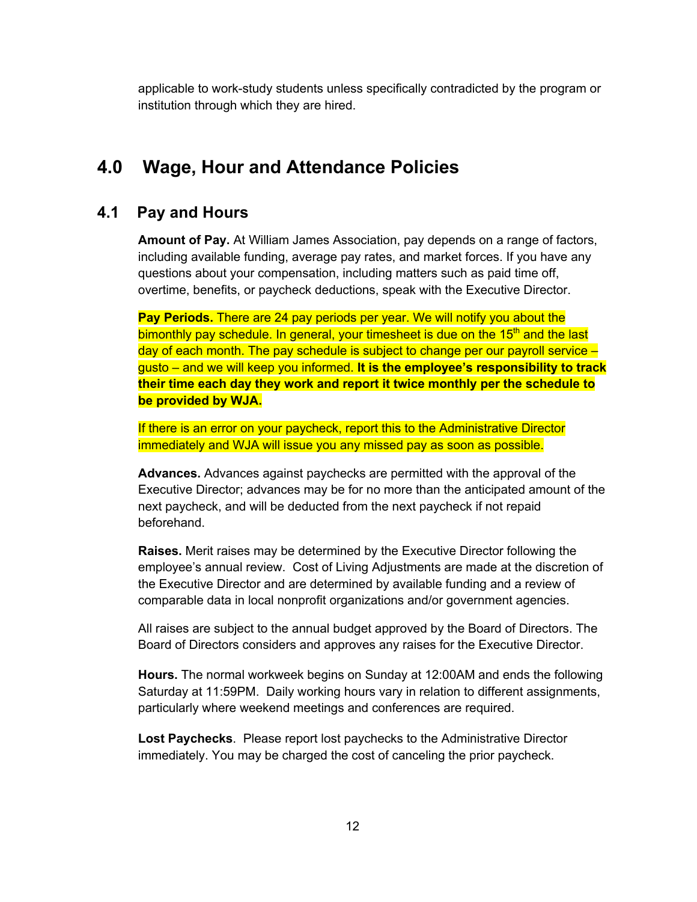applicable to work-study students unless specifically contradicted by the program or institution through which they are hired.

# **4.0 Wage, Hour and Attendance Policies**

### **4.1 Pay and Hours**

**Amount of Pay.** At William James Association, pay depends on a range of factors, including available funding, average pay rates, and market forces. If you have any questions about your compensation, including matters such as paid time off, overtime, benefits, or paycheck deductions, speak with the Executive Director.

**Pay Periods.** There are 24 pay periods per year. We will notify you about the bimonthly pay schedule. In general, your timesheet is due on the 15<sup>th</sup> and the last day of each month. The pay schedule is subject to change per our payroll service – gusto – and we will keep you informed. **It is the employee's responsibility to track their time each day they work and report it twice monthly per the schedule to be provided by WJA.**

If there is an error on your paycheck, report this to the Administrative Director immediately and WJA will issue you any missed pay as soon as possible.

**Advances.** Advances against paychecks are permitted with the approval of the Executive Director; advances may be for no more than the anticipated amount of the next paycheck, and will be deducted from the next paycheck if not repaid beforehand.

**Raises.** Merit raises may be determined by the Executive Director following the employee's annual review. Cost of Living Adjustments are made at the discretion of the Executive Director and are determined by available funding and a review of comparable data in local nonprofit organizations and/or government agencies.

All raises are subject to the annual budget approved by the Board of Directors. The Board of Directors considers and approves any raises for the Executive Director.

**Hours.** The normal workweek begins on Sunday at 12:00AM and ends the following Saturday at 11:59PM. Daily working hours vary in relation to different assignments, particularly where weekend meetings and conferences are required.

**Lost Paychecks**. Please report lost paychecks to the Administrative Director immediately. You may be charged the cost of canceling the prior paycheck.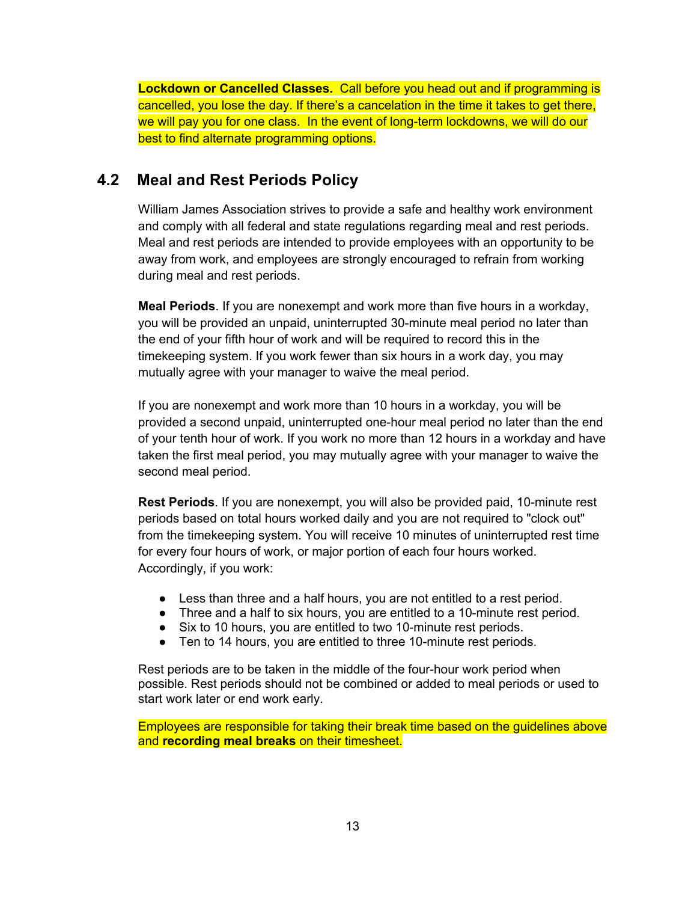**Lockdown or Cancelled Classes.** Call before you head out and if programming is cancelled, you lose the day. If there's a cancelation in the time it takes to get there, we will pay you for one class. In the event of long-term lockdowns, we will do our best to find alternate programming options.

### **4.2 Meal and Rest Periods Policy**

William James Association strives to provide a safe and healthy work environment and comply with all federal and state regulations regarding meal and rest periods. Meal and rest periods are intended to provide employees with an opportunity to be away from work, and employees are strongly encouraged to refrain from working during meal and rest periods.

**Meal Periods**. If you are nonexempt and work more than five hours in a workday, you will be provided an unpaid, uninterrupted 30-minute meal period no later than the end of your fifth hour of work and will be required to record this in the timekeeping system. If you work fewer than six hours in a work day, you may mutually agree with your manager to waive the meal period.

If you are nonexempt and work more than 10 hours in a workday, you will be provided a second unpaid, uninterrupted one-hour meal period no later than the end of your tenth hour of work. If you work no more than 12 hours in a workday and have taken the first meal period, you may mutually agree with your manager to waive the second meal period.

**Rest Periods**. If you are nonexempt, you will also be provided paid, 10-minute rest periods based on total hours worked daily and you are not required to "clock out" from the timekeeping system. You will receive 10 minutes of uninterrupted rest time for every four hours of work, or major portion of each four hours worked. Accordingly, if you work:

- Less than three and a half hours, you are not entitled to a rest period.
- Three and a half to six hours, you are entitled to a 10-minute rest period.
- Six to 10 hours, you are entitled to two 10-minute rest periods.
- Ten to 14 hours, you are entitled to three 10-minute rest periods.

Rest periods are to be taken in the middle of the four-hour work period when possible. Rest periods should not be combined or added to meal periods or used to start work later or end work early.

Employees are responsible for taking their break time based on the guidelines above and **recording meal breaks** on their timesheet.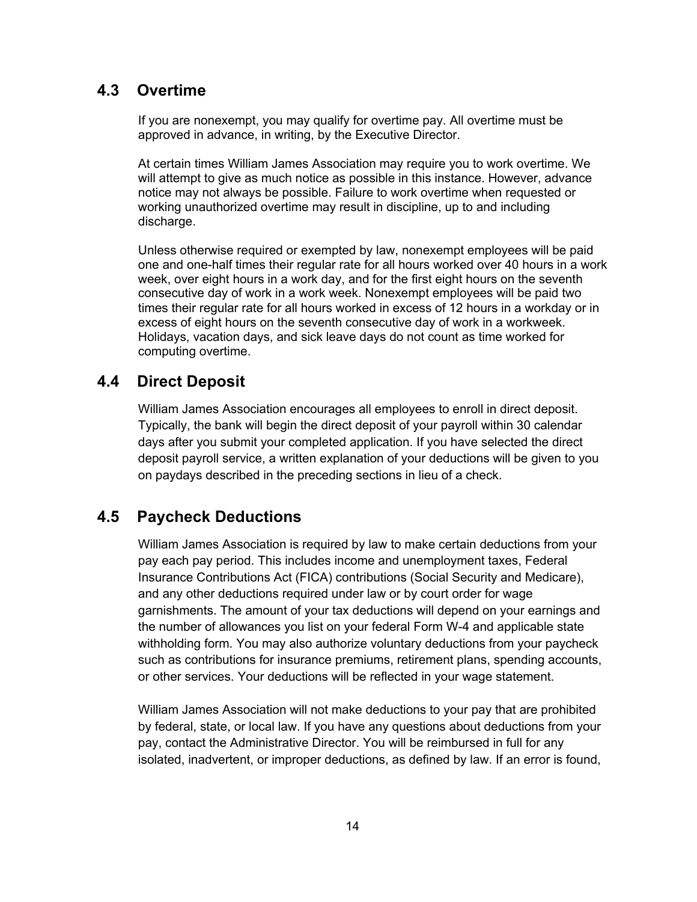### **4.3 Overtime**

If you are nonexempt, you may qualify for overtime pay. All overtime must be approved in advance, in writing, by the Executive Director.

At certain times William James Association may require you to work overtime. We will attempt to give as much notice as possible in this instance. However, advance notice may not always be possible. Failure to work overtime when requested or working unauthorized overtime may result in discipline, up to and including discharge.

Unless otherwise required or exempted by law, nonexempt employees will be paid one and one-half times their regular rate for all hours worked over 40 hours in a work week, over eight hours in a work day, and for the first eight hours on the seventh consecutive day of work in a work week. Nonexempt employees will be paid two times their regular rate for all hours worked in excess of 12 hours in a workday or in excess of eight hours on the seventh consecutive day of work in a workweek. Holidays, vacation days, and sick leave days do not count as time worked for computing overtime.

### **4.4 Direct Deposit**

William James Association encourages all employees to enroll in direct deposit. Typically, the bank will begin the direct deposit of your payroll within 30 calendar days after you submit your completed application. If you have selected the direct deposit payroll service, a written explanation of your deductions will be given to you on paydays described in the preceding sections in lieu of a check.

### **4.5 Paycheck Deductions**

William James Association is required by law to make certain deductions from your pay each pay period. This includes income and unemployment taxes, Federal Insurance Contributions Act (FICA) contributions (Social Security and Medicare), and any other deductions required under law or by court order for wage garnishments. The amount of your tax deductions will depend on your earnings and the number of allowances you list on your federal Form W-4 and applicable state withholding form. You may also authorize voluntary deductions from your paycheck such as contributions for insurance premiums, retirement plans, spending accounts, or other services. Your deductions will be reflected in your wage statement.

William James Association will not make deductions to your pay that are prohibited by federal, state, or local law. If you have any questions about deductions from your pay, contact the Administrative Director. You will be reimbursed in full for any isolated, inadvertent, or improper deductions, as defined by law. If an error is found,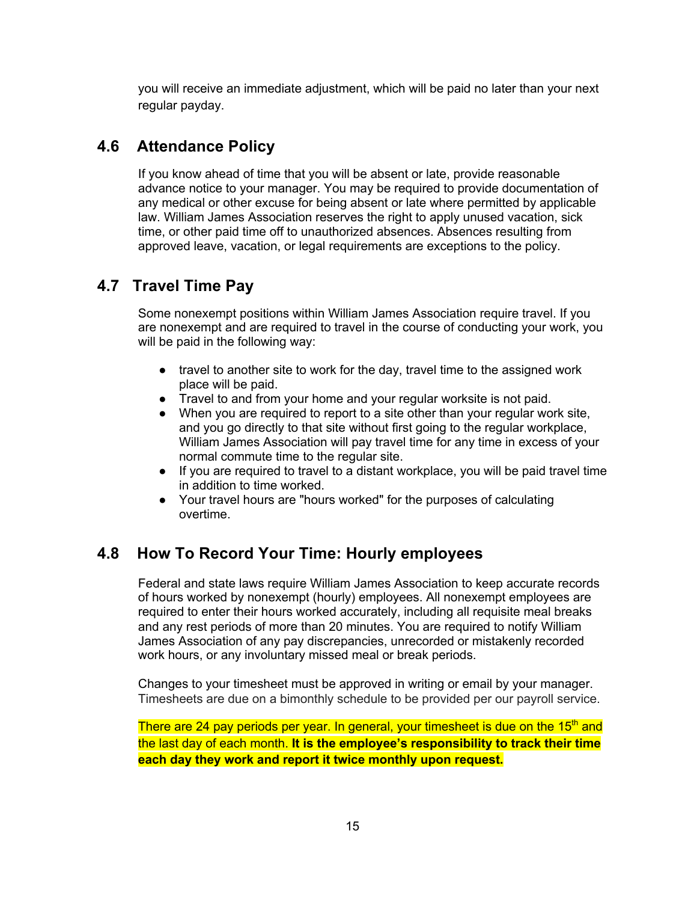you will receive an immediate adjustment, which will be paid no later than your next regular payday.

### **4.6 Attendance Policy**

If you know ahead of time that you will be absent or late, provide reasonable advance notice to your manager. You may be required to provide documentation of any medical or other excuse for being absent or late where permitted by applicable law. William James Association reserves the right to apply unused vacation, sick time, or other paid time off to unauthorized absences. Absences resulting from approved leave, vacation, or legal requirements are exceptions to the policy.

### **4.7 Travel Time Pay**

Some nonexempt positions within William James Association require travel. If you are nonexempt and are required to travel in the course of conducting your work, you will be paid in the following way:

- travel to another site to work for the day, travel time to the assigned work place will be paid.
- Travel to and from your home and your regular worksite is not paid.
- When you are required to report to a site other than your regular work site, and you go directly to that site without first going to the regular workplace, William James Association will pay travel time for any time in excess of your normal commute time to the regular site.
- If you are required to travel to a distant workplace, you will be paid travel time in addition to time worked.
- Your travel hours are "hours worked" for the purposes of calculating overtime.

### **4.8 How To Record Your Time: Hourly employees**

Federal and state laws require William James Association to keep accurate records of hours worked by nonexempt (hourly) employees. All nonexempt employees are required to enter their hours worked accurately, including all requisite meal breaks and any rest periods of more than 20 minutes. You are required to notify William James Association of any pay discrepancies, unrecorded or mistakenly recorded work hours, or any involuntary missed meal or break periods.

Changes to your timesheet must be approved in writing or email by your manager. Timesheets are due on a bimonthly schedule to be provided per our payroll service.

There are 24 pay periods per year. In general, your timesheet is due on the 15<sup>th</sup> and the last day of each month. **It is the employee's responsibility to track their time each day they work and report it twice monthly upon request.**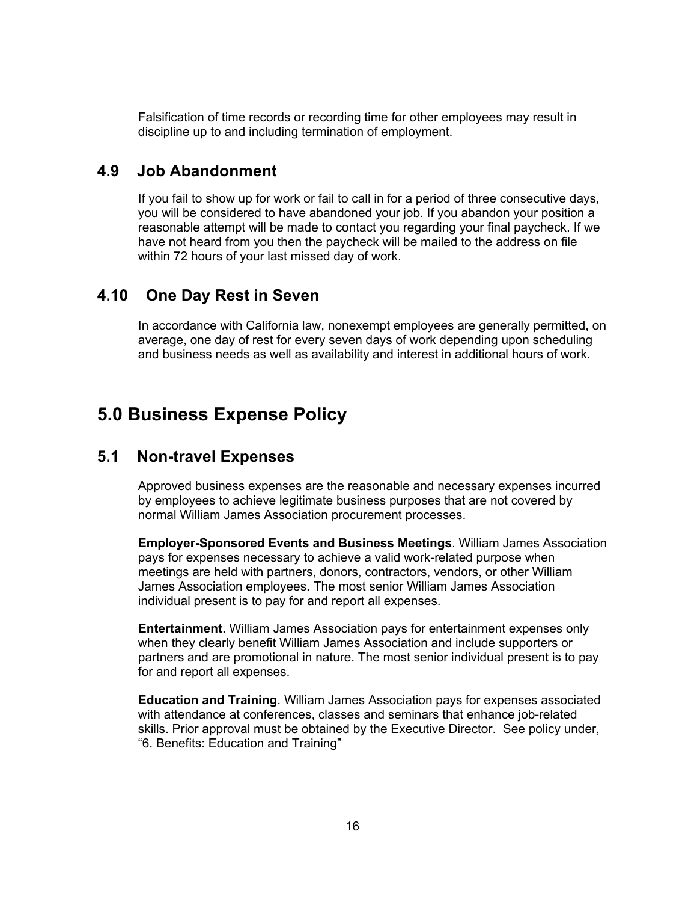Falsification of time records or recording time for other employees may result in discipline up to and including termination of employment.

#### **4.9 Job Abandonment**

If you fail to show up for work or fail to call in for a period of three consecutive days, you will be considered to have abandoned your job. If you abandon your position a reasonable attempt will be made to contact you regarding your final paycheck. If we have not heard from you then the paycheck will be mailed to the address on file within 72 hours of your last missed day of work.

### **4.10 One Day Rest in Seven**

In accordance with California law, nonexempt employees are generally permitted, on average, one day of rest for every seven days of work depending upon scheduling and business needs as well as availability and interest in additional hours of work.

# **5.0 Business Expense Policy**

### **5.1 Non-travel Expenses**

Approved business expenses are the reasonable and necessary expenses incurred by employees to achieve legitimate business purposes that are not covered by normal William James Association procurement processes.

**Employer-Sponsored Events and Business Meetings**. William James Association pays for expenses necessary to achieve a valid work-related purpose when meetings are held with partners, donors, contractors, vendors, or other William James Association employees. The most senior William James Association individual present is to pay for and report all expenses.

**Entertainment**. William James Association pays for entertainment expenses only when they clearly benefit William James Association and include supporters or partners and are promotional in nature. The most senior individual present is to pay for and report all expenses.

**Education and Training**. William James Association pays for expenses associated with attendance at conferences, classes and seminars that enhance job-related skills. Prior approval must be obtained by the Executive Director. See policy under, "6. Benefits: Education and Training"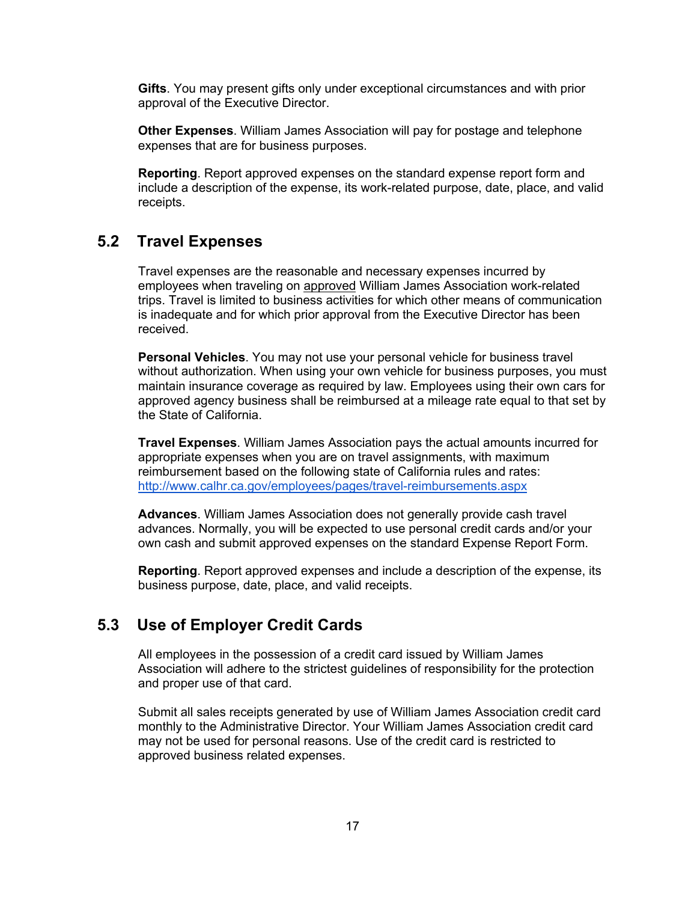**Gifts**. You may present gifts only under exceptional circumstances and with prior approval of the Executive Director.

**Other Expenses**. William James Association will pay for postage and telephone expenses that are for business purposes.

**Reporting**. Report approved expenses on the standard expense report form and include a description of the expense, its work-related purpose, date, place, and valid receipts.

### **5.2 Travel Expenses**

Travel expenses are the reasonable and necessary expenses incurred by employees when traveling on approved William James Association work-related trips. Travel is limited to business activities for which other means of communication is inadequate and for which prior approval from the Executive Director has been received.

**Personal Vehicles**. You may not use your personal vehicle for business travel without authorization. When using your own vehicle for business purposes, you must maintain insurance coverage as required by law. Employees using their own cars for approved agency business shall be reimbursed at a mileage rate equal to that set by the State of California.

**Travel Expenses**. William James Association pays the actual amounts incurred for appropriate expenses when you are on travel assignments, with maximum reimbursement based on the following state of California rules and rates: http://www.calhr.ca.gov/employees/pages/travel-reimbursements.aspx

**Advances**. William James Association does not generally provide cash travel advances. Normally, you will be expected to use personal credit cards and/or your own cash and submit approved expenses on the standard Expense Report Form.

**Reporting**. Report approved expenses and include a description of the expense, its business purpose, date, place, and valid receipts.

### **5.3 Use of Employer Credit Cards**

All employees in the possession of a credit card issued by William James Association will adhere to the strictest guidelines of responsibility for the protection and proper use of that card.

Submit all sales receipts generated by use of William James Association credit card monthly to the Administrative Director. Your William James Association credit card may not be used for personal reasons. Use of the credit card is restricted to approved business related expenses.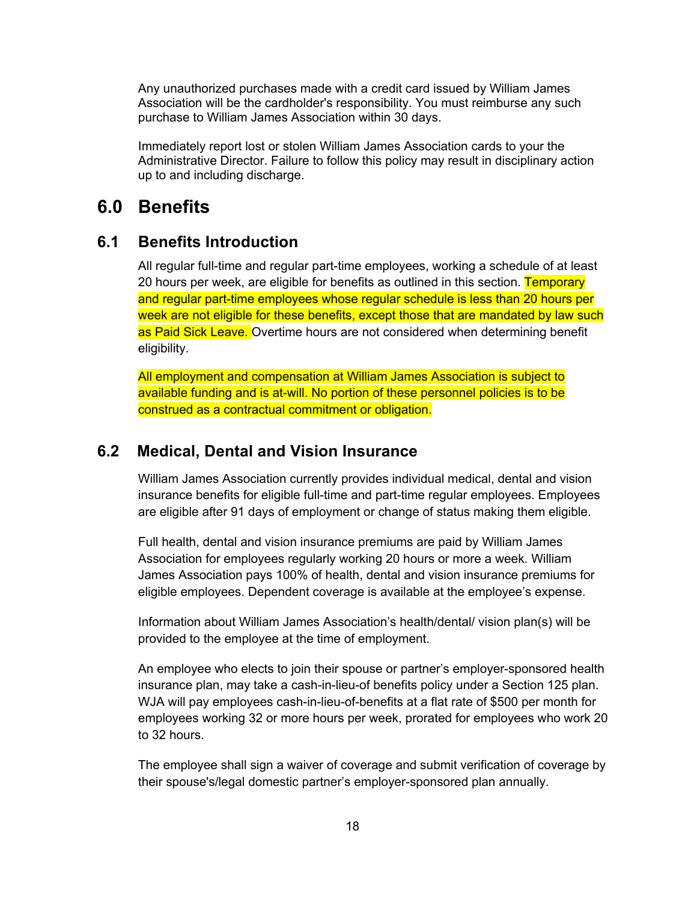Any unauthorized purchases made with a credit card issued by William James Association will be the cardholder's responsibility. You must reimburse any such purchase to William James Association within 30 days.

Immediately report lost or stolen William James Association cards to your the Administrative Director. Failure to follow this policy may result in disciplinary action up to and including discharge.

## **6.0 Benefits**

### **6.1 Benefits Introduction**

All regular full-time and regular part-time employees, working a schedule of at least 20 hours per week, are eligible for benefits as outlined in this section. Temporary and regular part-time employees whose regular schedule is less than 20 hours per week are not eligible for these benefits, except those that are mandated by law such as Paid Sick Leave. Overtime hours are not considered when determining benefit eligibility.

All employment and compensation at William James Association is subject to available funding and is at-will. No portion of these personnel policies is to be construed as a contractual commitment or obligation.

### **6.2 Medical, Dental and Vision Insurance**

William James Association currently provides individual medical, dental and vision insurance benefits for eligible full-time and part-time regular employees. Employees are eligible after 91 days of employment or change of status making them eligible.

Full health, dental and vision insurance premiums are paid by William James Association for employees regularly working 20 hours or more a week. William James Association pays 100% of health, dental and vision insurance premiums for eligible employees. Dependent coverage is available at the employee's expense.

Information about William James Association's health/dental/ vision plan(s) will be provided to the employee at the time of employment.

An employee who elects to join their spouse or partner's employer-sponsored health insurance plan, may take a cash-in-lieu-of benefits policy under a Section 125 plan. WJA will pay employees cash-in-lieu-of-benefits at a flat rate of \$500 per month for employees working 32 or more hours per week, prorated for employees who work 20 to 32 hours.

The employee shall sign a waiver of coverage and submit verification of coverage by their spouse's/legal domestic partner's employer-sponsored plan annually.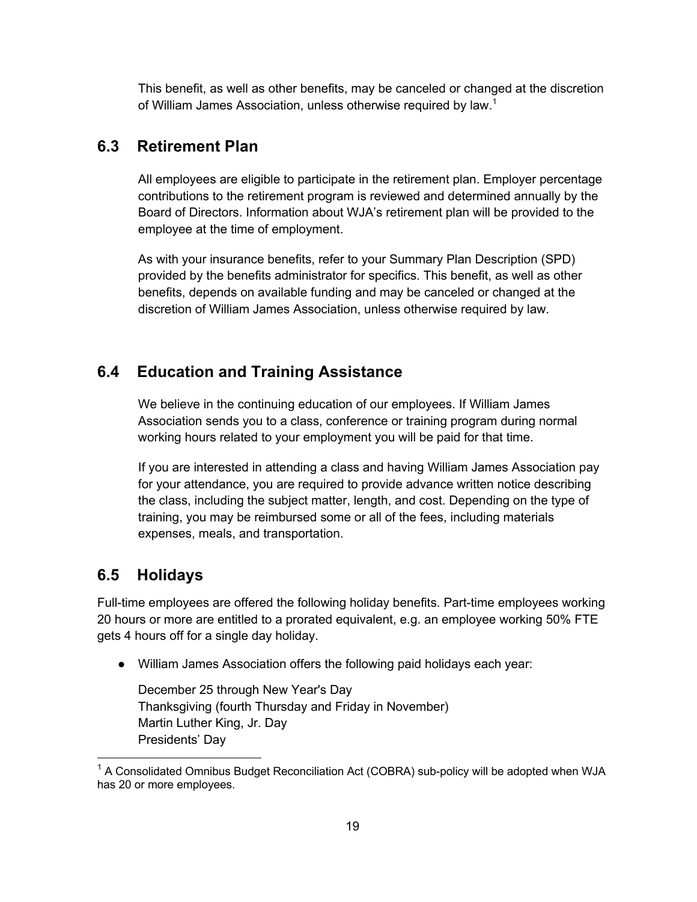This benefit, as well as other benefits, may be canceled or changed at the discretion of William James Association, unless otherwise required by law.<sup>1</sup>

### **6.3 Retirement Plan**

All employees are eligible to participate in the retirement plan. Employer percentage contributions to the retirement program is reviewed and determined annually by the Board of Directors. Information about WJA's retirement plan will be provided to the employee at the time of employment.

As with your insurance benefits, refer to your Summary Plan Description (SPD) provided by the benefits administrator for specifics. This benefit, as well as other benefits, depends on available funding and may be canceled or changed at the discretion of William James Association, unless otherwise required by law.

### **6.4 Education and Training Assistance**

We believe in the continuing education of our employees. If William James Association sends you to a class, conference or training program during normal working hours related to your employment you will be paid for that time.

If you are interested in attending a class and having William James Association pay for your attendance, you are required to provide advance written notice describing the class, including the subject matter, length, and cost. Depending on the type of training, you may be reimbursed some or all of the fees, including materials expenses, meals, and transportation.

### **6.5 Holidays**

Full-time employees are offered the following holiday benefits. Part-time employees working 20 hours or more are entitled to a prorated equivalent, e.g. an employee working 50% FTE gets 4 hours off for a single day holiday.

● William James Association offers the following paid holidays each year:

December 25 through New Year's Day Thanksgiving (fourth Thursday and Friday in November) Martin Luther King, Jr. Day Presidents' Day

 $1$  A Consolidated Omnibus Budget Reconciliation Act (COBRA) sub-policy will be adopted when WJA has 20 or more employees.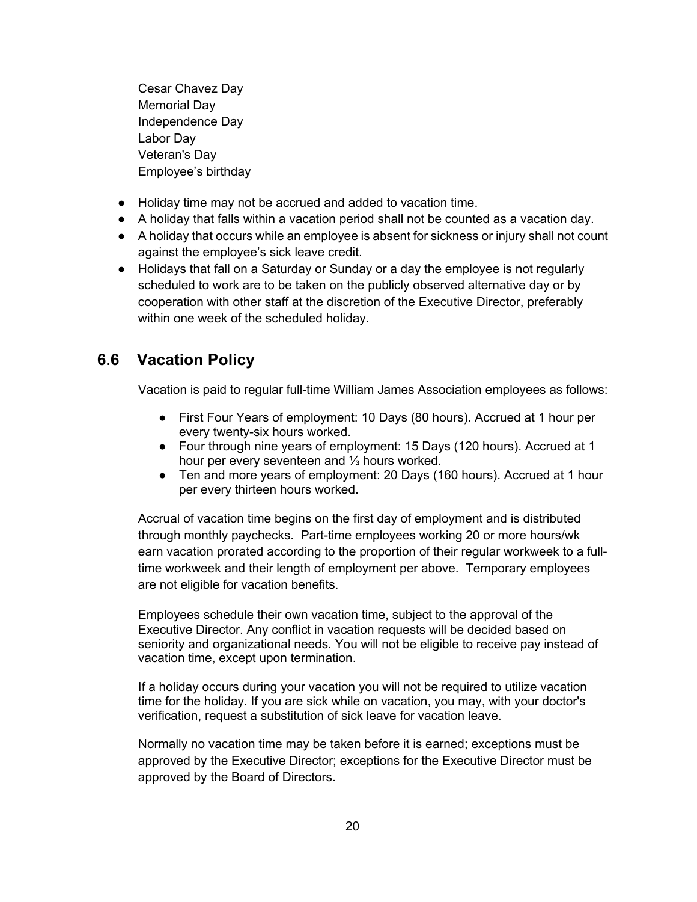Cesar Chavez Day Memorial Day Independence Day Labor Day Veteran's Day Employee's birthday

- Holiday time may not be accrued and added to vacation time.
- A holiday that falls within a vacation period shall not be counted as a vacation day.
- A holiday that occurs while an employee is absent for sickness or injury shall not count against the employee's sick leave credit.
- Holidays that fall on a Saturday or Sunday or a day the employee is not regularly scheduled to work are to be taken on the publicly observed alternative day or by cooperation with other staff at the discretion of the Executive Director, preferably within one week of the scheduled holiday.

### **6.6 Vacation Policy**

Vacation is paid to regular full-time William James Association employees as follows:

- First Four Years of employment: 10 Days (80 hours). Accrued at 1 hour per every twenty-six hours worked.
- Four through nine years of employment: 15 Days (120 hours). Accrued at 1 hour per every seventeen and ⅓ hours worked.
- Ten and more years of employment: 20 Days (160 hours). Accrued at 1 hour per every thirteen hours worked.

Accrual of vacation time begins on the first day of employment and is distributed through monthly paychecks. Part-time employees working 20 or more hours/wk earn vacation prorated according to the proportion of their regular workweek to a fulltime workweek and their length of employment per above. Temporary employees are not eligible for vacation benefits.

Employees schedule their own vacation time, subject to the approval of the Executive Director. Any conflict in vacation requests will be decided based on seniority and organizational needs. You will not be eligible to receive pay instead of vacation time, except upon termination.

If a holiday occurs during your vacation you will not be required to utilize vacation time for the holiday. If you are sick while on vacation, you may, with your doctor's verification, request a substitution of sick leave for vacation leave.

Normally no vacation time may be taken before it is earned; exceptions must be approved by the Executive Director; exceptions for the Executive Director must be approved by the Board of Directors.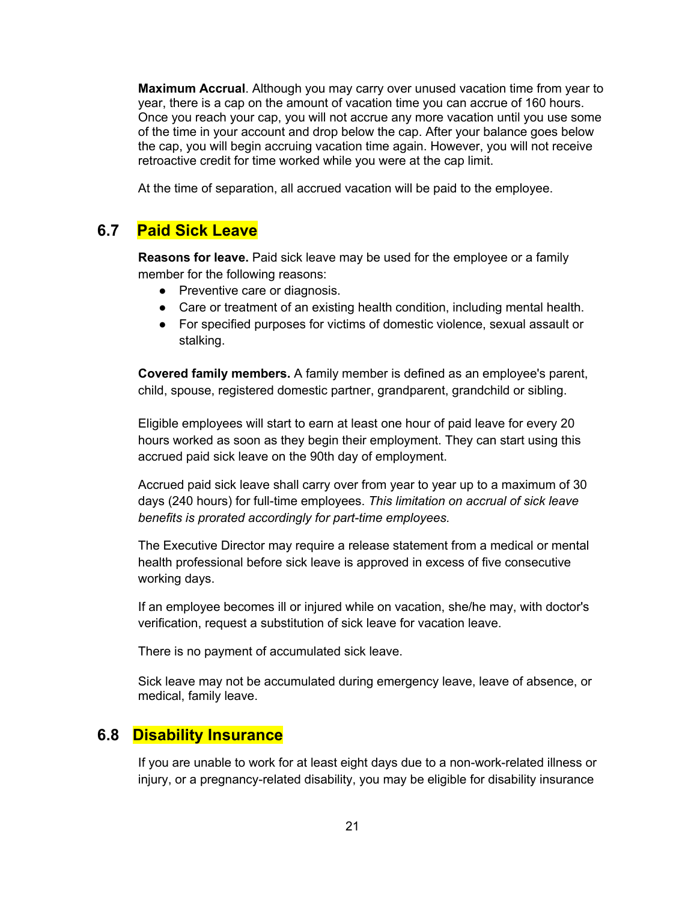**Maximum Accrual**. Although you may carry over unused vacation time from year to year, there is a cap on the amount of vacation time you can accrue of 160 hours. Once you reach your cap, you will not accrue any more vacation until you use some of the time in your account and drop below the cap. After your balance goes below the cap, you will begin accruing vacation time again. However, you will not receive retroactive credit for time worked while you were at the cap limit.

At the time of separation, all accrued vacation will be paid to the employee.

### **6.7 Paid Sick Leave**

**Reasons for leave.** Paid sick leave may be used for the employee or a family member for the following reasons:

- Preventive care or diagnosis.
- Care or treatment of an existing health condition, including mental health.
- For specified purposes for victims of domestic violence, sexual assault or stalking.

**Covered family members.** A family member is defined as an employee's parent, child, spouse, registered domestic partner, grandparent, grandchild or sibling.

Eligible employees will start to earn at least one hour of paid leave for every 20 hours worked as soon as they begin their employment. They can start using this accrued paid sick leave on the 90th day of employment.

Accrued paid sick leave shall carry over from year to year up to a maximum of 30 days (240 hours) for full-time employees. *This limitation on accrual of sick leave benefits is prorated accordingly for part-time employees.*

The Executive Director may require a release statement from a medical or mental health professional before sick leave is approved in excess of five consecutive working days.

If an employee becomes ill or injured while on vacation, she/he may, with doctor's verification, request a substitution of sick leave for vacation leave.

There is no payment of accumulated sick leave.

Sick leave may not be accumulated during emergency leave, leave of absence, or medical, family leave.

### **6.8 Disability Insurance**

If you are unable to work for at least eight days due to a non-work-related illness or injury, or a pregnancy-related disability, you may be eligible for disability insurance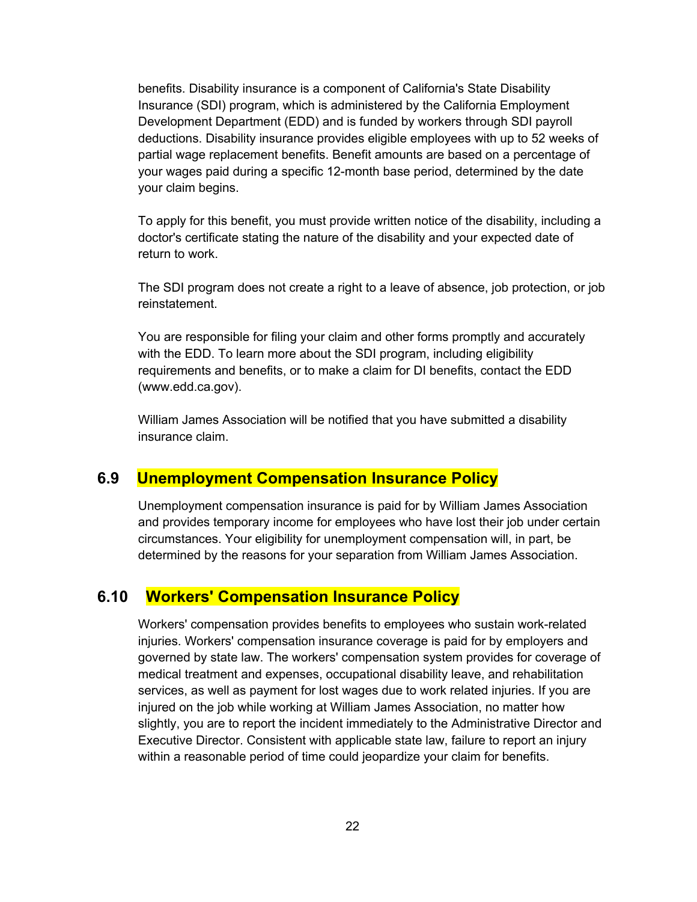benefits. Disability insurance is a component of California's State Disability Insurance (SDI) program, which is administered by the California Employment Development Department (EDD) and is funded by workers through SDI payroll deductions. Disability insurance provides eligible employees with up to 52 weeks of partial wage replacement benefits. Benefit amounts are based on a percentage of your wages paid during a specific 12-month base period, determined by the date your claim begins.

To apply for this benefit, you must provide written notice of the disability, including a doctor's certificate stating the nature of the disability and your expected date of return to work.

The SDI program does not create a right to a leave of absence, job protection, or job reinstatement.

You are responsible for filing your claim and other forms promptly and accurately with the EDD. To learn more about the SDI program, including eligibility requirements and benefits, or to make a claim for DI benefits, contact the EDD (www.edd.ca.gov).

William James Association will be notified that you have submitted a disability insurance claim.

### **6.9 Unemployment Compensation Insurance Policy**

Unemployment compensation insurance is paid for by William James Association and provides temporary income for employees who have lost their job under certain circumstances. Your eligibility for unemployment compensation will, in part, be determined by the reasons for your separation from William James Association.

### **6.10 Workers' Compensation Insurance Policy**

Workers' compensation provides benefits to employees who sustain work-related injuries. Workers' compensation insurance coverage is paid for by employers and governed by state law. The workers' compensation system provides for coverage of medical treatment and expenses, occupational disability leave, and rehabilitation services, as well as payment for lost wages due to work related injuries. If you are injured on the job while working at William James Association, no matter how slightly, you are to report the incident immediately to the Administrative Director and Executive Director. Consistent with applicable state law, failure to report an injury within a reasonable period of time could jeopardize your claim for benefits.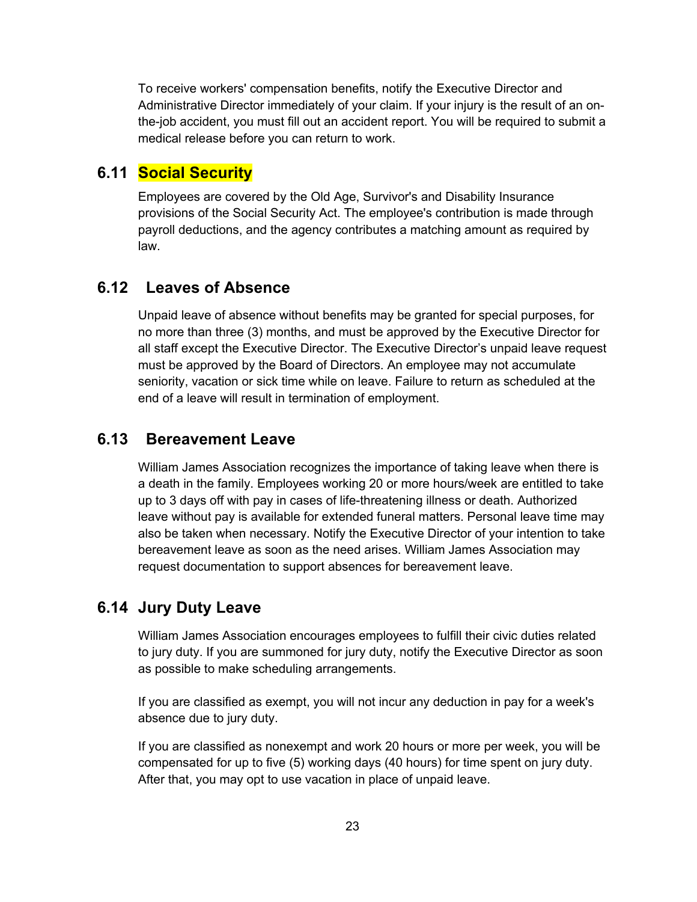To receive workers' compensation benefits, notify the Executive Director and Administrative Director immediately of your claim. If your injury is the result of an onthe-job accident, you must fill out an accident report. You will be required to submit a medical release before you can return to work.

### **6.11 Social Security**

Employees are covered by the Old Age, Survivor's and Disability Insurance provisions of the Social Security Act. The employee's contribution is made through payroll deductions, and the agency contributes a matching amount as required by law.

### **6.12 Leaves of Absence**

Unpaid leave of absence without benefits may be granted for special purposes, for no more than three (3) months, and must be approved by the Executive Director for all staff except the Executive Director. The Executive Director's unpaid leave request must be approved by the Board of Directors. An employee may not accumulate seniority, vacation or sick time while on leave. Failure to return as scheduled at the end of a leave will result in termination of employment.

### **6.13 Bereavement Leave**

William James Association recognizes the importance of taking leave when there is a death in the family. Employees working 20 or more hours/week are entitled to take up to 3 days off with pay in cases of life-threatening illness or death. Authorized leave without pay is available for extended funeral matters. Personal leave time may also be taken when necessary. Notify the Executive Director of your intention to take bereavement leave as soon as the need arises. William James Association may request documentation to support absences for bereavement leave.

### **6.14 Jury Duty Leave**

William James Association encourages employees to fulfill their civic duties related to jury duty. If you are summoned for jury duty, notify the Executive Director as soon as possible to make scheduling arrangements.

If you are classified as exempt, you will not incur any deduction in pay for a week's absence due to jury duty.

If you are classified as nonexempt and work 20 hours or more per week, you will be compensated for up to five (5) working days (40 hours) for time spent on jury duty. After that, you may opt to use vacation in place of unpaid leave.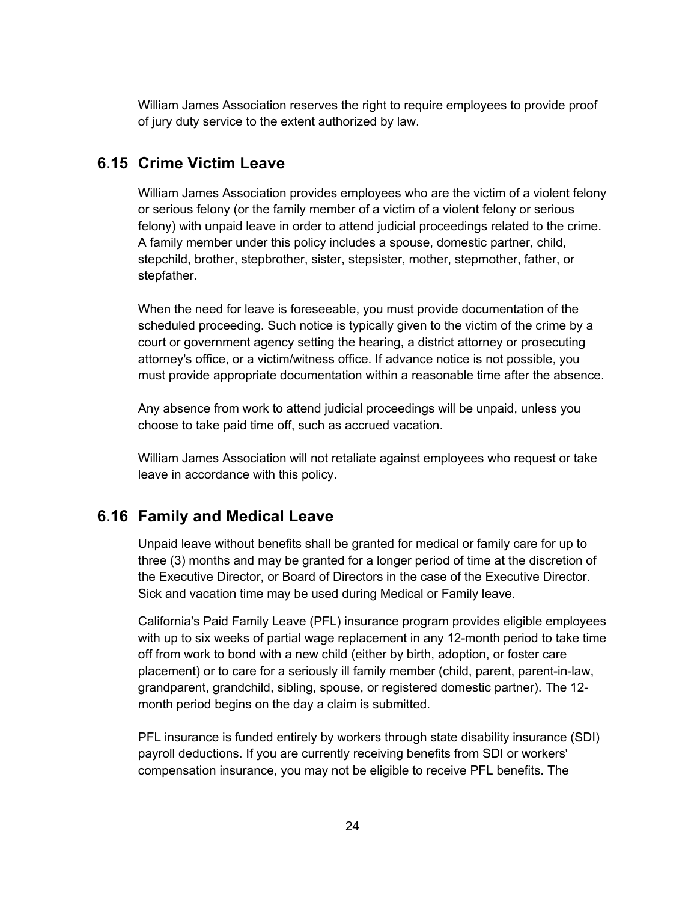William James Association reserves the right to require employees to provide proof of jury duty service to the extent authorized by law.

### **6.15 Crime Victim Leave**

William James Association provides employees who are the victim of a violent felony or serious felony (or the family member of a victim of a violent felony or serious felony) with unpaid leave in order to attend judicial proceedings related to the crime. A family member under this policy includes a spouse, domestic partner, child, stepchild, brother, stepbrother, sister, stepsister, mother, stepmother, father, or stepfather.

When the need for leave is foreseeable, you must provide documentation of the scheduled proceeding. Such notice is typically given to the victim of the crime by a court or government agency setting the hearing, a district attorney or prosecuting attorney's office, or a victim/witness office. If advance notice is not possible, you must provide appropriate documentation within a reasonable time after the absence.

Any absence from work to attend judicial proceedings will be unpaid, unless you choose to take paid time off, such as accrued vacation.

William James Association will not retaliate against employees who request or take leave in accordance with this policy.

### **6.16 Family and Medical Leave**

Unpaid leave without benefits shall be granted for medical or family care for up to three (3) months and may be granted for a longer period of time at the discretion of the Executive Director, or Board of Directors in the case of the Executive Director. Sick and vacation time may be used during Medical or Family leave.

California's Paid Family Leave (PFL) insurance program provides eligible employees with up to six weeks of partial wage replacement in any 12-month period to take time off from work to bond with a new child (either by birth, adoption, or foster care placement) or to care for a seriously ill family member (child, parent, parent-in-law, grandparent, grandchild, sibling, spouse, or registered domestic partner). The 12 month period begins on the day a claim is submitted.

PFL insurance is funded entirely by workers through state disability insurance (SDI) payroll deductions. If you are currently receiving benefits from SDI or workers' compensation insurance, you may not be eligible to receive PFL benefits. The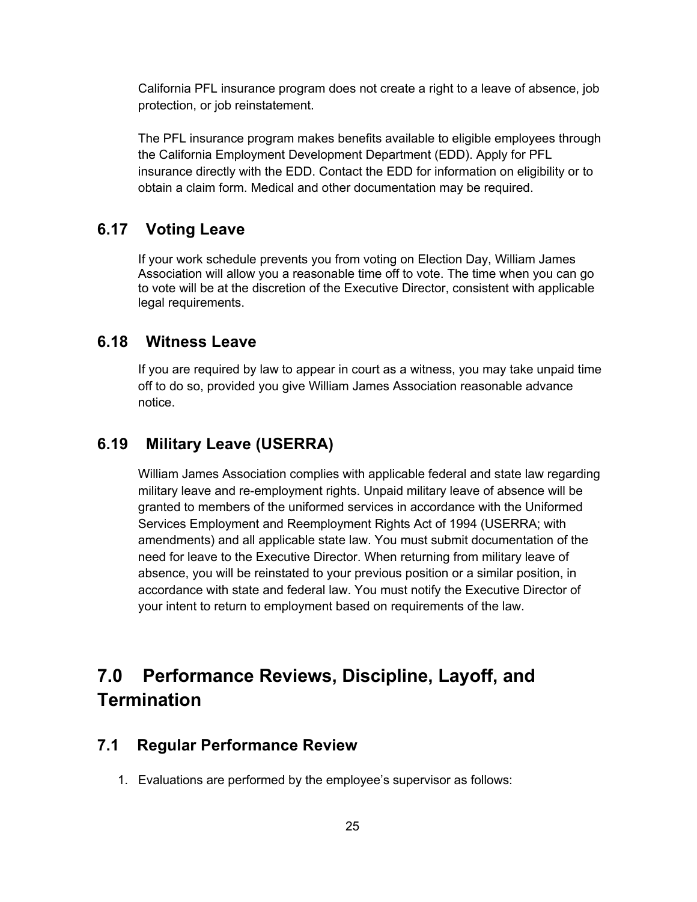California PFL insurance program does not create a right to a leave of absence, job protection, or job reinstatement.

The PFL insurance program makes benefits available to eligible employees through the California Employment Development Department (EDD). Apply for PFL insurance directly with the EDD. Contact the EDD for information on eligibility or to obtain a claim form. Medical and other documentation may be required.

### **6.17 Voting Leave**

If your work schedule prevents you from voting on Election Day, William James Association will allow you a reasonable time off to vote. The time when you can go to vote will be at the discretion of the Executive Director, consistent with applicable legal requirements.

### **6.18 Witness Leave**

If you are required by law to appear in court as a witness, you may take unpaid time off to do so, provided you give William James Association reasonable advance notice.

### **6.19 Military Leave (USERRA)**

William James Association complies with applicable federal and state law regarding military leave and re-employment rights. Unpaid military leave of absence will be granted to members of the uniformed services in accordance with the Uniformed Services Employment and Reemployment Rights Act of 1994 (USERRA; with amendments) and all applicable state law. You must submit documentation of the need for leave to the Executive Director. When returning from military leave of absence, you will be reinstated to your previous position or a similar position, in accordance with state and federal law. You must notify the Executive Director of your intent to return to employment based on requirements of the law.

# **7.0 Performance Reviews, Discipline, Layoff, and Termination**

### **7.1 Regular Performance Review**

1. Evaluations are performed by the employee's supervisor as follows: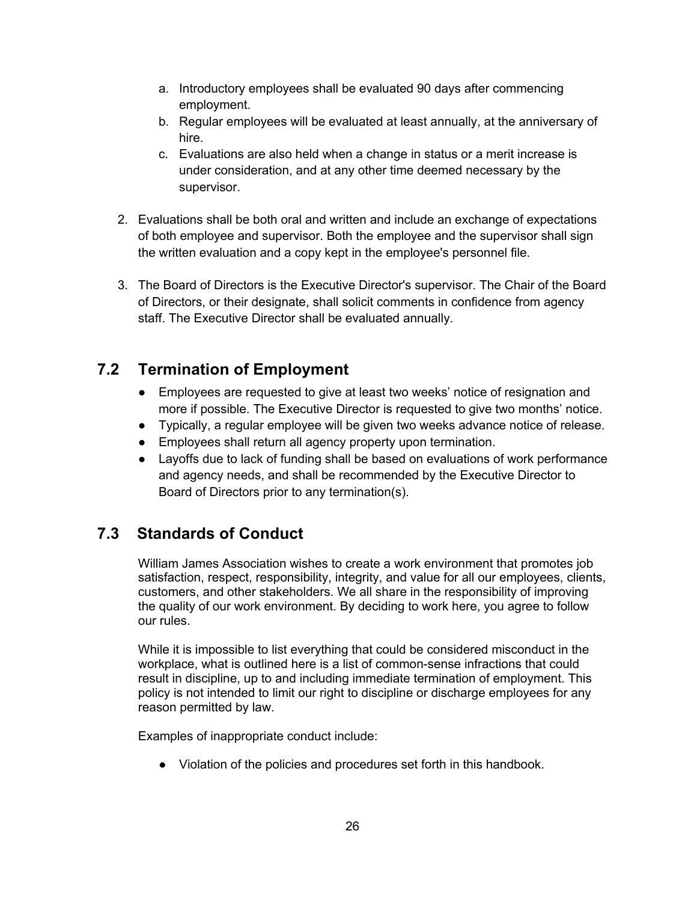- a. Introductory employees shall be evaluated 90 days after commencing employment.
- b. Regular employees will be evaluated at least annually, at the anniversary of hire.
- c. Evaluations are also held when a change in status or a merit increase is under consideration, and at any other time deemed necessary by the supervisor.
- 2. Evaluations shall be both oral and written and include an exchange of expectations of both employee and supervisor. Both the employee and the supervisor shall sign the written evaluation and a copy kept in the employee's personnel file.
- 3. The Board of Directors is the Executive Director's supervisor. The Chair of the Board of Directors, or their designate, shall solicit comments in confidence from agency staff. The Executive Director shall be evaluated annually.

### **7.2 Termination of Employment**

- Employees are requested to give at least two weeks' notice of resignation and more if possible. The Executive Director is requested to give two months' notice.
- Typically, a regular employee will be given two weeks advance notice of release.
- Employees shall return all agency property upon termination.
- Layoffs due to lack of funding shall be based on evaluations of work performance and agency needs, and shall be recommended by the Executive Director to Board of Directors prior to any termination(s).

## **7.3 Standards of Conduct**

William James Association wishes to create a work environment that promotes job satisfaction, respect, responsibility, integrity, and value for all our employees, clients, customers, and other stakeholders. We all share in the responsibility of improving the quality of our work environment. By deciding to work here, you agree to follow our rules.

While it is impossible to list everything that could be considered misconduct in the workplace, what is outlined here is a list of common-sense infractions that could result in discipline, up to and including immediate termination of employment. This policy is not intended to limit our right to discipline or discharge employees for any reason permitted by law.

Examples of inappropriate conduct include:

● Violation of the policies and procedures set forth in this handbook.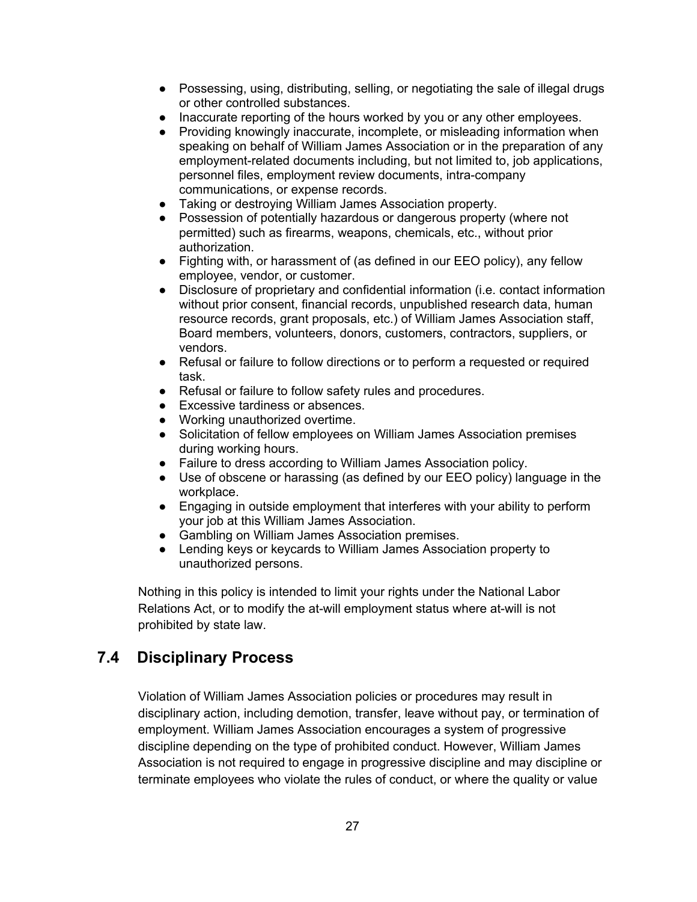- Possessing, using, distributing, selling, or negotiating the sale of illegal drugs or other controlled substances.
- Inaccurate reporting of the hours worked by you or any other employees.
- Providing knowingly inaccurate, incomplete, or misleading information when speaking on behalf of William James Association or in the preparation of any employment-related documents including, but not limited to, job applications, personnel files, employment review documents, intra-company communications, or expense records.
- Taking or destroying William James Association property.
- Possession of potentially hazardous or dangerous property (where not permitted) such as firearms, weapons, chemicals, etc., without prior authorization.
- Fighting with, or harassment of (as defined in our EEO policy), any fellow employee, vendor, or customer.
- Disclosure of proprietary and confidential information (i.e. contact information without prior consent, financial records, unpublished research data, human resource records, grant proposals, etc.) of William James Association staff, Board members, volunteers, donors, customers, contractors, suppliers, or vendors.
- Refusal or failure to follow directions or to perform a requested or required task.
- Refusal or failure to follow safety rules and procedures.
- Excessive tardiness or absences.
- Working unauthorized overtime.
- Solicitation of fellow employees on William James Association premises during working hours.
- Failure to dress according to William James Association policy.
- Use of obscene or harassing (as defined by our EEO policy) language in the workplace.
- Engaging in outside employment that interferes with your ability to perform your job at this William James Association.
- Gambling on William James Association premises.
- Lending keys or keycards to William James Association property to unauthorized persons.

Nothing in this policy is intended to limit your rights under the National Labor Relations Act, or to modify the at-will employment status where at-will is not prohibited by state law.

### **7.4 Disciplinary Process**

Violation of William James Association policies or procedures may result in disciplinary action, including demotion, transfer, leave without pay, or termination of employment. William James Association encourages a system of progressive discipline depending on the type of prohibited conduct. However, William James Association is not required to engage in progressive discipline and may discipline or terminate employees who violate the rules of conduct, or where the quality or value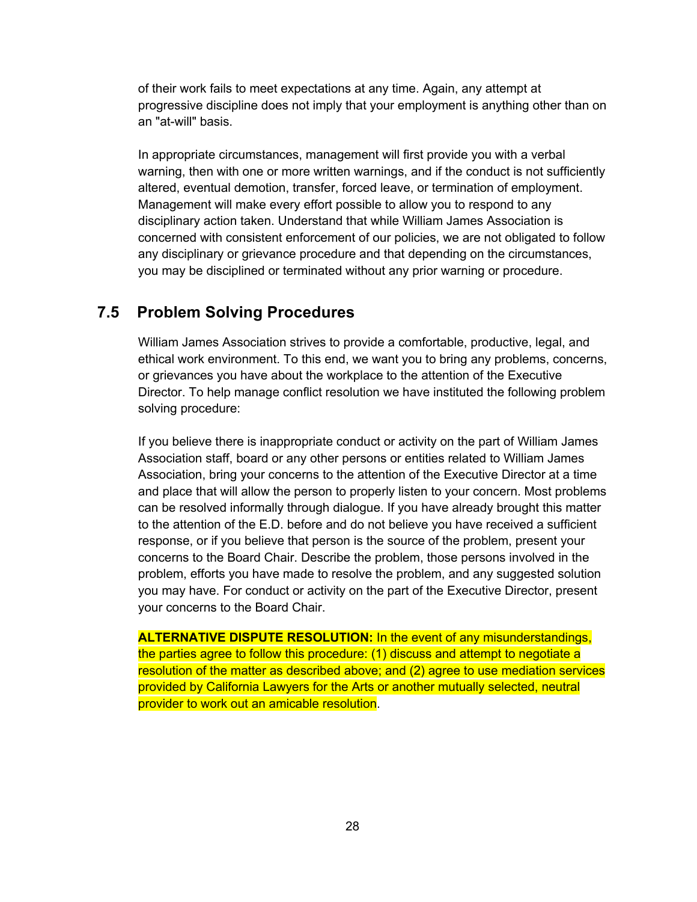of their work fails to meet expectations at any time. Again, any attempt at progressive discipline does not imply that your employment is anything other than on an "at-will" basis.

In appropriate circumstances, management will first provide you with a verbal warning, then with one or more written warnings, and if the conduct is not sufficiently altered, eventual demotion, transfer, forced leave, or termination of employment. Management will make every effort possible to allow you to respond to any disciplinary action taken. Understand that while William James Association is concerned with consistent enforcement of our policies, we are not obligated to follow any disciplinary or grievance procedure and that depending on the circumstances, you may be disciplined or terminated without any prior warning or procedure.

#### **7.5 Problem Solving Procedures**

William James Association strives to provide a comfortable, productive, legal, and ethical work environment. To this end, we want you to bring any problems, concerns, or grievances you have about the workplace to the attention of the Executive Director. To help manage conflict resolution we have instituted the following problem solving procedure:

If you believe there is inappropriate conduct or activity on the part of William James Association staff, board or any other persons or entities related to William James Association, bring your concerns to the attention of the Executive Director at a time and place that will allow the person to properly listen to your concern. Most problems can be resolved informally through dialogue. If you have already brought this matter to the attention of the E.D. before and do not believe you have received a sufficient response, or if you believe that person is the source of the problem, present your concerns to the Board Chair. Describe the problem, those persons involved in the problem, efforts you have made to resolve the problem, and any suggested solution you may have. For conduct or activity on the part of the Executive Director, present your concerns to the Board Chair.

**ALTERNATIVE DISPUTE RESOLUTION:** In the event of any misunderstandings, the parties agree to follow this procedure: (1) discuss and attempt to negotiate a resolution of the matter as described above; and (2) agree to use mediation services provided by California Lawyers for the Arts or another mutually selected, neutral provider to work out an amicable resolution.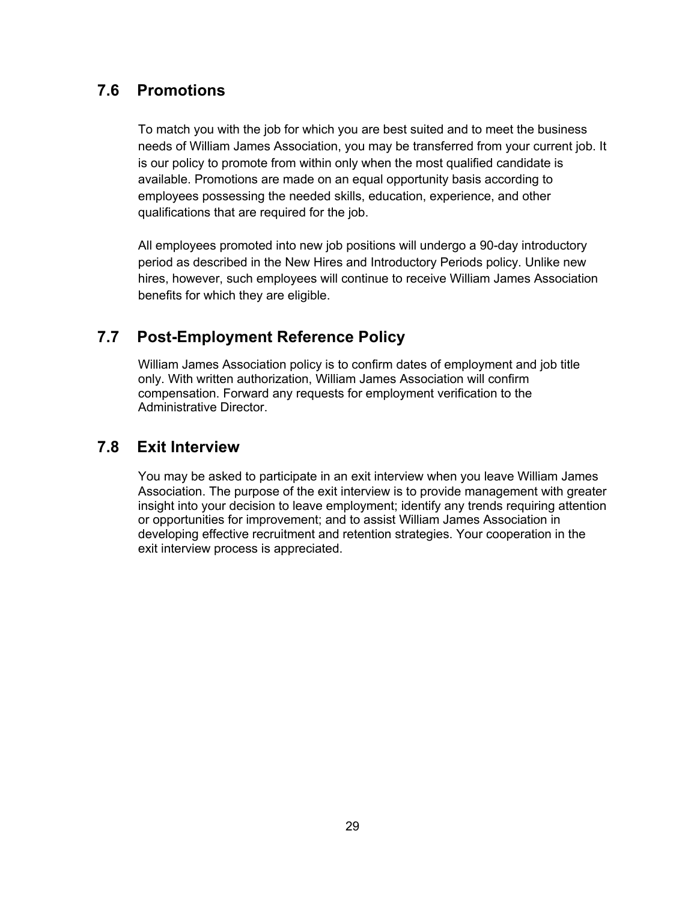### **7.6 Promotions**

To match you with the job for which you are best suited and to meet the business needs of William James Association, you may be transferred from your current job. It is our policy to promote from within only when the most qualified candidate is available. Promotions are made on an equal opportunity basis according to employees possessing the needed skills, education, experience, and other qualifications that are required for the job.

All employees promoted into new job positions will undergo a 90-day introductory period as described in the New Hires and Introductory Periods policy. Unlike new hires, however, such employees will continue to receive William James Association benefits for which they are eligible.

### **7.7 Post-Employment Reference Policy**

William James Association policy is to confirm dates of employment and job title only. With written authorization, William James Association will confirm compensation. Forward any requests for employment verification to the Administrative Director.

### **7.8 Exit Interview**

You may be asked to participate in an exit interview when you leave William James Association. The purpose of the exit interview is to provide management with greater insight into your decision to leave employment; identify any trends requiring attention or opportunities for improvement; and to assist William James Association in developing effective recruitment and retention strategies. Your cooperation in the exit interview process is appreciated.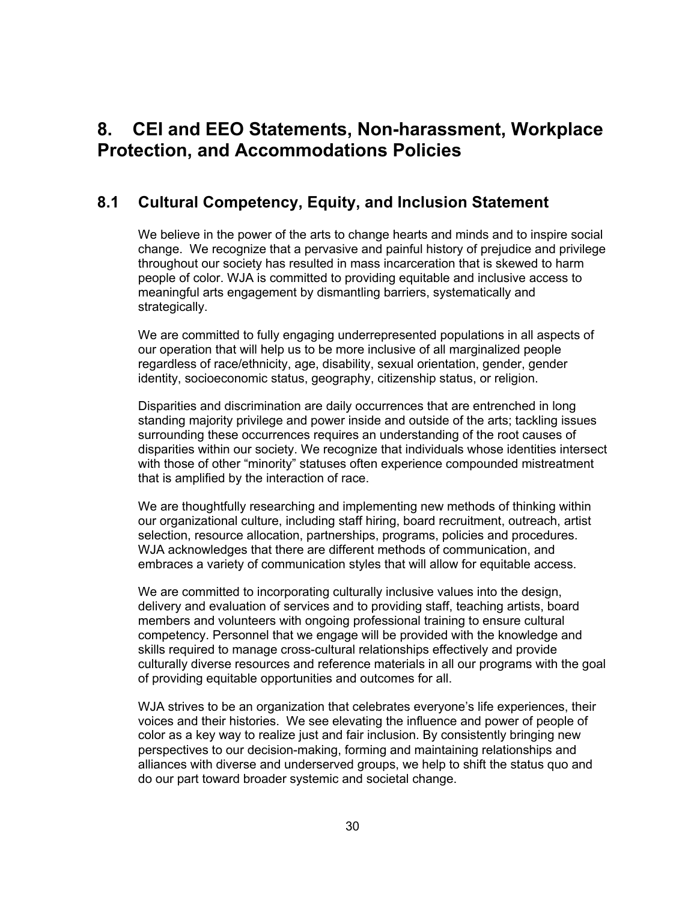## **8. CEI and EEO Statements, Non-harassment, Workplace Protection, and Accommodations Policies**

### **8.1 Cultural Competency, Equity, and Inclusion Statement**

We believe in the power of the arts to change hearts and minds and to inspire social change. We recognize that a pervasive and painful history of prejudice and privilege throughout our society has resulted in mass incarceration that is skewed to harm people of color. WJA is committed to providing equitable and inclusive access to meaningful arts engagement by dismantling barriers, systematically and strategically.

We are committed to fully engaging underrepresented populations in all aspects of our operation that will help us to be more inclusive of all marginalized people regardless of race/ethnicity, age, disability, sexual orientation, gender, gender identity, socioeconomic status, geography, citizenship status, or religion.

Disparities and discrimination are daily occurrences that are entrenched in long standing majority privilege and power inside and outside of the arts; tackling issues surrounding these occurrences requires an understanding of the root causes of disparities within our society. We recognize that individuals whose identities intersect with those of other "minority" statuses often experience compounded mistreatment that is amplified by the interaction of race.

We are thoughtfully researching and implementing new methods of thinking within our organizational culture, including staff hiring, board recruitment, outreach, artist selection, resource allocation, partnerships, programs, policies and procedures. WJA acknowledges that there are different methods of communication, and embraces a variety of communication styles that will allow for equitable access.

We are committed to incorporating culturally inclusive values into the design, delivery and evaluation of services and to providing staff, teaching artists, board members and volunteers with ongoing professional training to ensure cultural competency. Personnel that we engage will be provided with the knowledge and skills required to manage cross-cultural relationships effectively and provide culturally diverse resources and reference materials in all our programs with the goal of providing equitable opportunities and outcomes for all.

WJA strives to be an organization that celebrates everyone's life experiences, their voices and their histories. We see elevating the influence and power of people of color as a key way to realize just and fair inclusion. By consistently bringing new perspectives to our decision-making, forming and maintaining relationships and alliances with diverse and underserved groups, we help to shift the status quo and do our part toward broader systemic and societal change.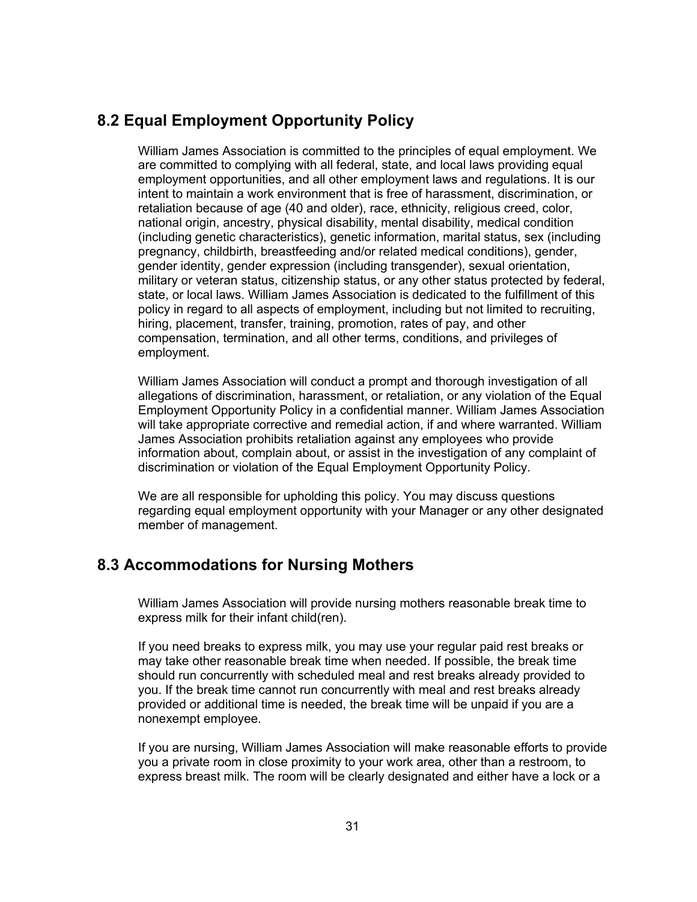### **8.2 Equal Employment Opportunity Policy**

William James Association is committed to the principles of equal employment. We are committed to complying with all federal, state, and local laws providing equal employment opportunities, and all other employment laws and regulations. It is our intent to maintain a work environment that is free of harassment, discrimination, or retaliation because of age (40 and older), race, ethnicity, religious creed, color, national origin, ancestry, physical disability, mental disability, medical condition (including genetic characteristics), genetic information, marital status, sex (including pregnancy, childbirth, breastfeeding and/or related medical conditions), gender, gender identity, gender expression (including transgender), sexual orientation, military or veteran status, citizenship status, or any other status protected by federal, state, or local laws. William James Association is dedicated to the fulfillment of this policy in regard to all aspects of employment, including but not limited to recruiting, hiring, placement, transfer, training, promotion, rates of pay, and other compensation, termination, and all other terms, conditions, and privileges of employment.

William James Association will conduct a prompt and thorough investigation of all allegations of discrimination, harassment, or retaliation, or any violation of the Equal Employment Opportunity Policy in a confidential manner. William James Association will take appropriate corrective and remedial action, if and where warranted. William James Association prohibits retaliation against any employees who provide information about, complain about, or assist in the investigation of any complaint of discrimination or violation of the Equal Employment Opportunity Policy.

We are all responsible for upholding this policy. You may discuss questions regarding equal employment opportunity with your Manager or any other designated member of management.

### **8.3 Accommodations for Nursing Mothers**

William James Association will provide nursing mothers reasonable break time to express milk for their infant child(ren).

If you need breaks to express milk, you may use your regular paid rest breaks or may take other reasonable break time when needed. If possible, the break time should run concurrently with scheduled meal and rest breaks already provided to you. If the break time cannot run concurrently with meal and rest breaks already provided or additional time is needed, the break time will be unpaid if you are a nonexempt employee.

If you are nursing, William James Association will make reasonable efforts to provide you a private room in close proximity to your work area, other than a restroom, to express breast milk. The room will be clearly designated and either have a lock or a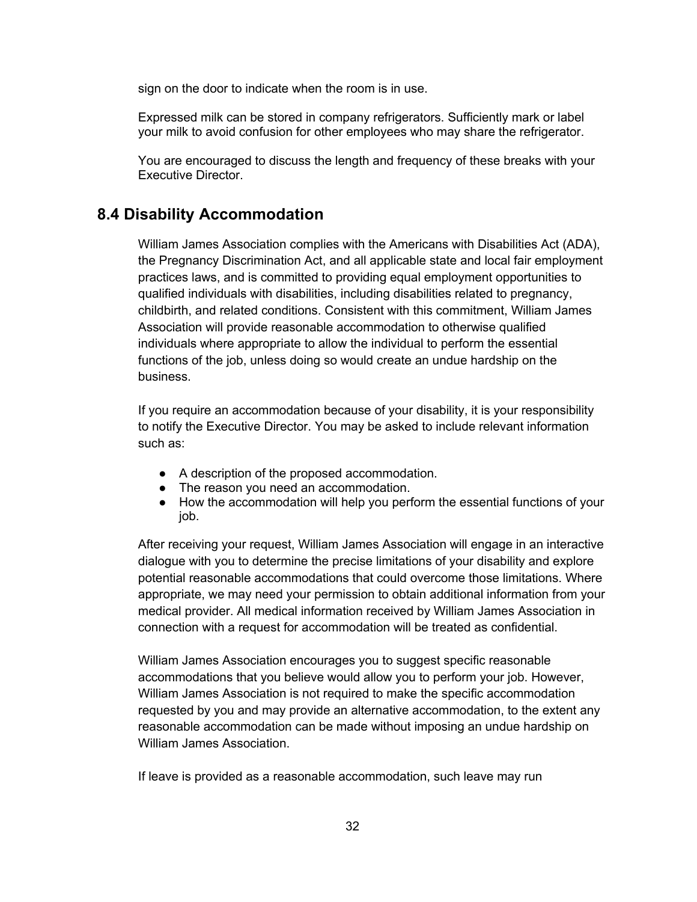sign on the door to indicate when the room is in use.

Expressed milk can be stored in company refrigerators. Sufficiently mark or label your milk to avoid confusion for other employees who may share the refrigerator.

You are encouraged to discuss the length and frequency of these breaks with your Executive Director.

### **8.4 Disability Accommodation**

William James Association complies with the Americans with Disabilities Act (ADA), the Pregnancy Discrimination Act, and all applicable state and local fair employment practices laws, and is committed to providing equal employment opportunities to qualified individuals with disabilities, including disabilities related to pregnancy, childbirth, and related conditions. Consistent with this commitment, William James Association will provide reasonable accommodation to otherwise qualified individuals where appropriate to allow the individual to perform the essential functions of the job, unless doing so would create an undue hardship on the business.

If you require an accommodation because of your disability, it is your responsibility to notify the Executive Director. You may be asked to include relevant information such as:

- A description of the proposed accommodation.
- The reason you need an accommodation.
- How the accommodation will help you perform the essential functions of your job.

After receiving your request, William James Association will engage in an interactive dialogue with you to determine the precise limitations of your disability and explore potential reasonable accommodations that could overcome those limitations. Where appropriate, we may need your permission to obtain additional information from your medical provider. All medical information received by William James Association in connection with a request for accommodation will be treated as confidential.

William James Association encourages you to suggest specific reasonable accommodations that you believe would allow you to perform your job. However, William James Association is not required to make the specific accommodation requested by you and may provide an alternative accommodation, to the extent any reasonable accommodation can be made without imposing an undue hardship on William James Association.

If leave is provided as a reasonable accommodation, such leave may run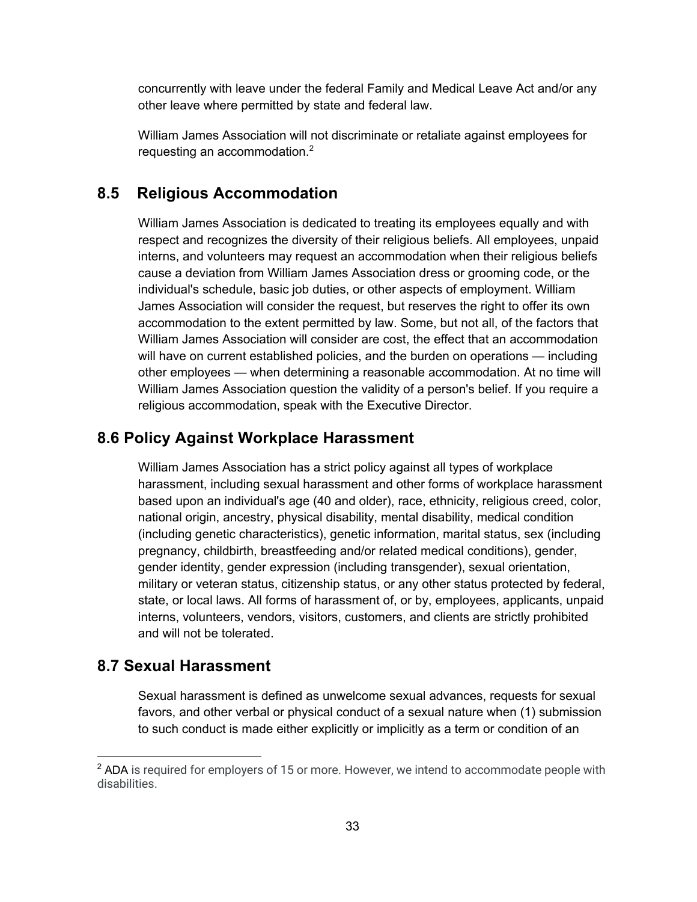concurrently with leave under the federal Family and Medical Leave Act and/or any other leave where permitted by state and federal law.

William James Association will not discriminate or retaliate against employees for requesting an accommodation.<sup>2</sup>

### **8.5 Religious Accommodation**

William James Association is dedicated to treating its employees equally and with respect and recognizes the diversity of their religious beliefs. All employees, unpaid interns, and volunteers may request an accommodation when their religious beliefs cause a deviation from William James Association dress or grooming code, or the individual's schedule, basic job duties, or other aspects of employment. William James Association will consider the request, but reserves the right to offer its own accommodation to the extent permitted by law. Some, but not all, of the factors that William James Association will consider are cost, the effect that an accommodation will have on current established policies, and the burden on operations — including other employees — when determining a reasonable accommodation. At no time will William James Association question the validity of a person's belief. If you require a religious accommodation, speak with the Executive Director.

### **8.6 Policy Against Workplace Harassment**

William James Association has a strict policy against all types of workplace harassment, including sexual harassment and other forms of workplace harassment based upon an individual's age (40 and older), race, ethnicity, religious creed, color, national origin, ancestry, physical disability, mental disability, medical condition (including genetic characteristics), genetic information, marital status, sex (including pregnancy, childbirth, breastfeeding and/or related medical conditions), gender, gender identity, gender expression (including transgender), sexual orientation, military or veteran status, citizenship status, or any other status protected by federal, state, or local laws. All forms of harassment of, or by, employees, applicants, unpaid interns, volunteers, vendors, visitors, customers, and clients are strictly prohibited and will not be tolerated.

### **8.7 Sexual Harassment**

Sexual harassment is defined as unwelcome sexual advances, requests for sexual favors, and other verbal or physical conduct of a sexual nature when (1) submission to such conduct is made either explicitly or implicitly as a term or condition of an

 $2$  ADA is required for employers of 15 or more. However, we intend to accommodate people with disabilities.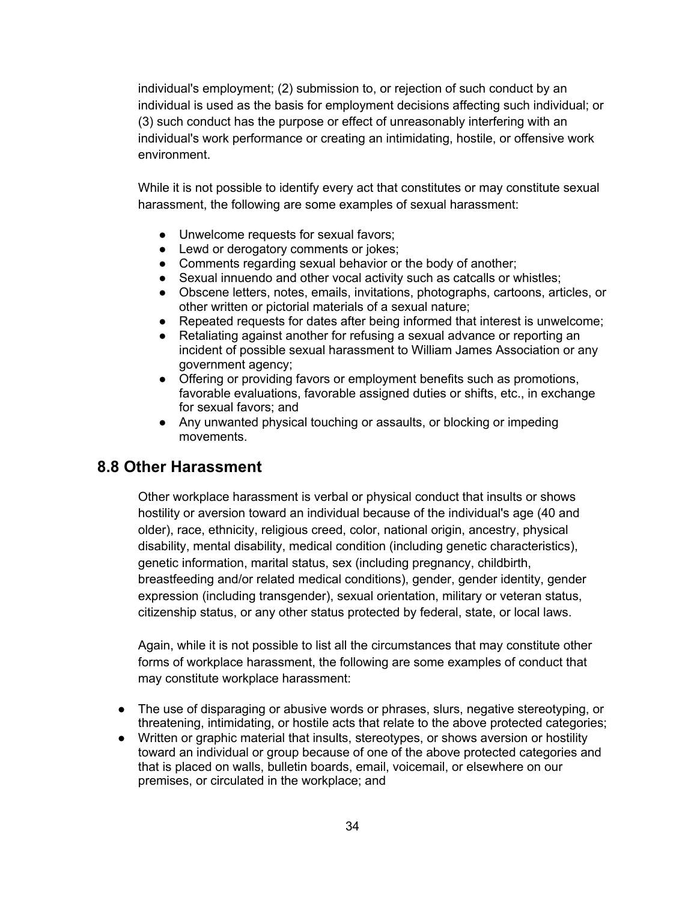individual's employment; (2) submission to, or rejection of such conduct by an individual is used as the basis for employment decisions affecting such individual; or (3) such conduct has the purpose or effect of unreasonably interfering with an individual's work performance or creating an intimidating, hostile, or offensive work environment.

While it is not possible to identify every act that constitutes or may constitute sexual harassment, the following are some examples of sexual harassment:

- Unwelcome requests for sexual favors;
- Lewd or derogatory comments or jokes;
- Comments regarding sexual behavior or the body of another;
- Sexual innuendo and other vocal activity such as catcalls or whistles;
- Obscene letters, notes, emails, invitations, photographs, cartoons, articles, or other written or pictorial materials of a sexual nature;
- Repeated requests for dates after being informed that interest is unwelcome;
- Retaliating against another for refusing a sexual advance or reporting an incident of possible sexual harassment to William James Association or any government agency;
- Offering or providing favors or employment benefits such as promotions, favorable evaluations, favorable assigned duties or shifts, etc., in exchange for sexual favors; and
- Any unwanted physical touching or assaults, or blocking or impeding movements.

### **8.8 Other Harassment**

Other workplace harassment is verbal or physical conduct that insults or shows hostility or aversion toward an individual because of the individual's age (40 and older), race, ethnicity, religious creed, color, national origin, ancestry, physical disability, mental disability, medical condition (including genetic characteristics), genetic information, marital status, sex (including pregnancy, childbirth, breastfeeding and/or related medical conditions), gender, gender identity, gender expression (including transgender), sexual orientation, military or veteran status, citizenship status, or any other status protected by federal, state, or local laws.

Again, while it is not possible to list all the circumstances that may constitute other forms of workplace harassment, the following are some examples of conduct that may constitute workplace harassment:

- The use of disparaging or abusive words or phrases, slurs, negative stereotyping, or threatening, intimidating, or hostile acts that relate to the above protected categories;
- Written or graphic material that insults, stereotypes, or shows aversion or hostility toward an individual or group because of one of the above protected categories and that is placed on walls, bulletin boards, email, voicemail, or elsewhere on our premises, or circulated in the workplace; and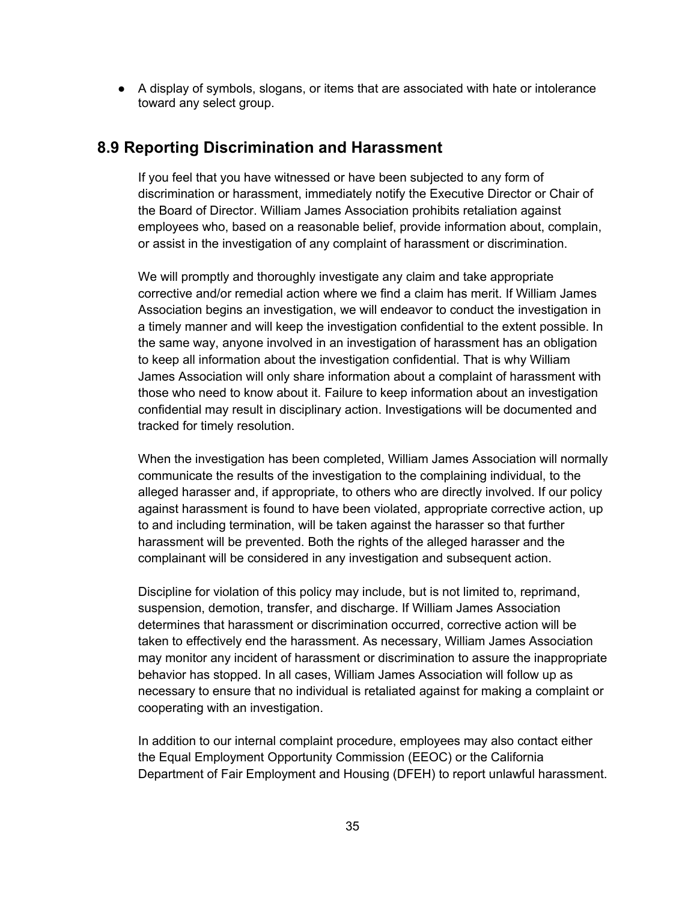● A display of symbols, slogans, or items that are associated with hate or intolerance toward any select group.

#### **8.9 Reporting Discrimination and Harassment**

If you feel that you have witnessed or have been subjected to any form of discrimination or harassment, immediately notify the Executive Director or Chair of the Board of Director. William James Association prohibits retaliation against employees who, based on a reasonable belief, provide information about, complain, or assist in the investigation of any complaint of harassment or discrimination.

We will promptly and thoroughly investigate any claim and take appropriate corrective and/or remedial action where we find a claim has merit. If William James Association begins an investigation, we will endeavor to conduct the investigation in a timely manner and will keep the investigation confidential to the extent possible. In the same way, anyone involved in an investigation of harassment has an obligation to keep all information about the investigation confidential. That is why William James Association will only share information about a complaint of harassment with those who need to know about it. Failure to keep information about an investigation confidential may result in disciplinary action. Investigations will be documented and tracked for timely resolution.

When the investigation has been completed, William James Association will normally communicate the results of the investigation to the complaining individual, to the alleged harasser and, if appropriate, to others who are directly involved. If our policy against harassment is found to have been violated, appropriate corrective action, up to and including termination, will be taken against the harasser so that further harassment will be prevented. Both the rights of the alleged harasser and the complainant will be considered in any investigation and subsequent action.

Discipline for violation of this policy may include, but is not limited to, reprimand, suspension, demotion, transfer, and discharge. If William James Association determines that harassment or discrimination occurred, corrective action will be taken to effectively end the harassment. As necessary, William James Association may monitor any incident of harassment or discrimination to assure the inappropriate behavior has stopped. In all cases, William James Association will follow up as necessary to ensure that no individual is retaliated against for making a complaint or cooperating with an investigation.

In addition to our internal complaint procedure, employees may also contact either the Equal Employment Opportunity Commission (EEOC) or the California Department of Fair Employment and Housing (DFEH) to report unlawful harassment.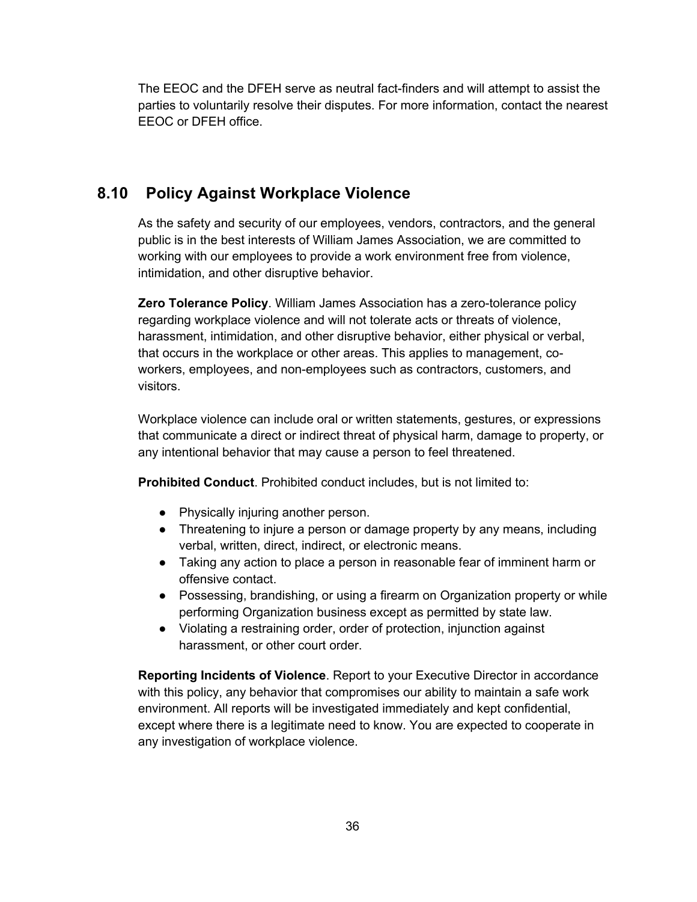The EEOC and the DFEH serve as neutral fact-finders and will attempt to assist the parties to voluntarily resolve their disputes. For more information, contact the nearest EEOC or DFEH office.

### **8.10 Policy Against Workplace Violence**

As the safety and security of our employees, vendors, contractors, and the general public is in the best interests of William James Association, we are committed to working with our employees to provide a work environment free from violence, intimidation, and other disruptive behavior.

**Zero Tolerance Policy**. William James Association has a zero-tolerance policy regarding workplace violence and will not tolerate acts or threats of violence, harassment, intimidation, and other disruptive behavior, either physical or verbal, that occurs in the workplace or other areas. This applies to management, coworkers, employees, and non-employees such as contractors, customers, and visitors.

Workplace violence can include oral or written statements, gestures, or expressions that communicate a direct or indirect threat of physical harm, damage to property, or any intentional behavior that may cause a person to feel threatened.

**Prohibited Conduct**. Prohibited conduct includes, but is not limited to:

- Physically injuring another person.
- Threatening to injure a person or damage property by any means, including verbal, written, direct, indirect, or electronic means.
- Taking any action to place a person in reasonable fear of imminent harm or offensive contact.
- Possessing, brandishing, or using a firearm on Organization property or while performing Organization business except as permitted by state law.
- Violating a restraining order, order of protection, injunction against harassment, or other court order.

**Reporting Incidents of Violence**. Report to your Executive Director in accordance with this policy, any behavior that compromises our ability to maintain a safe work environment. All reports will be investigated immediately and kept confidential, except where there is a legitimate need to know. You are expected to cooperate in any investigation of workplace violence.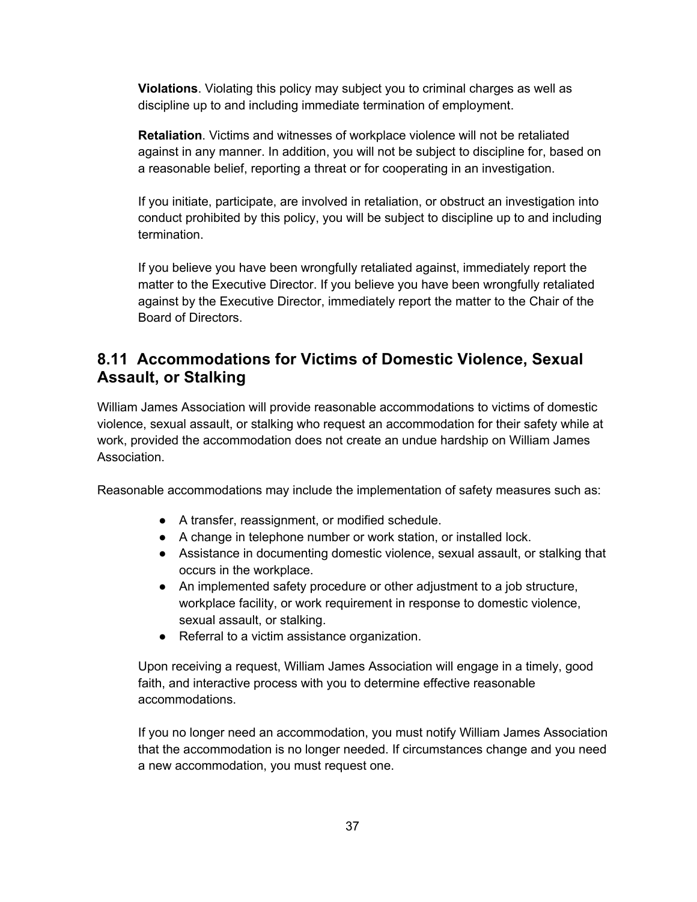**Violations**. Violating this policy may subject you to criminal charges as well as discipline up to and including immediate termination of employment.

**Retaliation**. Victims and witnesses of workplace violence will not be retaliated against in any manner. In addition, you will not be subject to discipline for, based on a reasonable belief, reporting a threat or for cooperating in an investigation.

If you initiate, participate, are involved in retaliation, or obstruct an investigation into conduct prohibited by this policy, you will be subject to discipline up to and including termination.

If you believe you have been wrongfully retaliated against, immediately report the matter to the Executive Director. If you believe you have been wrongfully retaliated against by the Executive Director, immediately report the matter to the Chair of the Board of Directors.

### **8.11 Accommodations for Victims of Domestic Violence, Sexual Assault, or Stalking**

William James Association will provide reasonable accommodations to victims of domestic violence, sexual assault, or stalking who request an accommodation for their safety while at work, provided the accommodation does not create an undue hardship on William James Association.

Reasonable accommodations may include the implementation of safety measures such as:

- A transfer, reassignment, or modified schedule.
- A change in telephone number or work station, or installed lock.
- Assistance in documenting domestic violence, sexual assault, or stalking that occurs in the workplace.
- An implemented safety procedure or other adjustment to a job structure, workplace facility, or work requirement in response to domestic violence, sexual assault, or stalking.
- Referral to a victim assistance organization.

Upon receiving a request, William James Association will engage in a timely, good faith, and interactive process with you to determine effective reasonable accommodations.

If you no longer need an accommodation, you must notify William James Association that the accommodation is no longer needed. If circumstances change and you need a new accommodation, you must request one.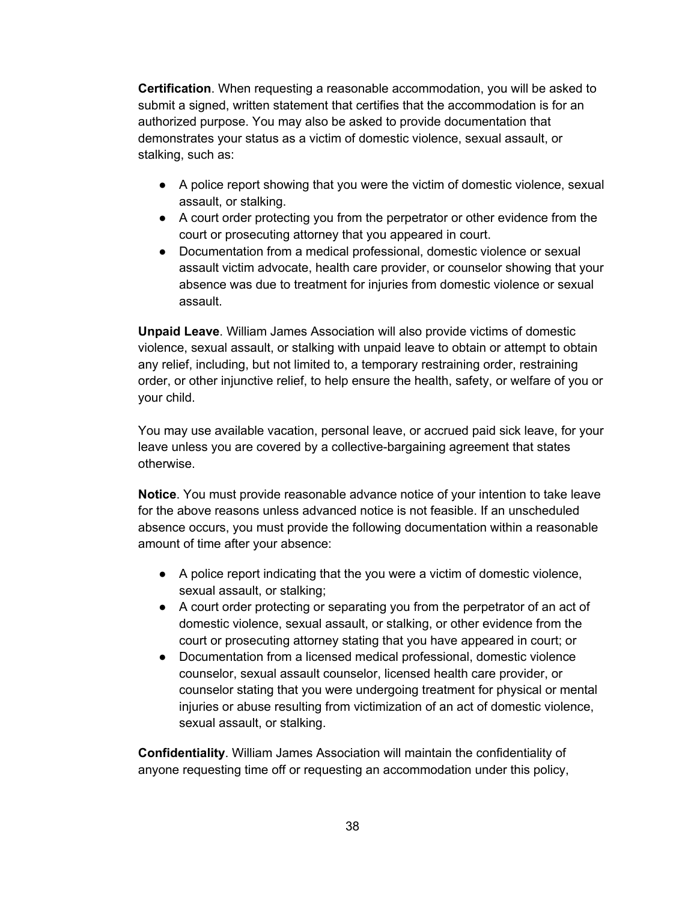**Certification**. When requesting a reasonable accommodation, you will be asked to submit a signed, written statement that certifies that the accommodation is for an authorized purpose. You may also be asked to provide documentation that demonstrates your status as a victim of domestic violence, sexual assault, or stalking, such as:

- A police report showing that you were the victim of domestic violence, sexual assault, or stalking.
- A court order protecting you from the perpetrator or other evidence from the court or prosecuting attorney that you appeared in court.
- Documentation from a medical professional, domestic violence or sexual assault victim advocate, health care provider, or counselor showing that your absence was due to treatment for injuries from domestic violence or sexual assault.

**Unpaid Leave**. William James Association will also provide victims of domestic violence, sexual assault, or stalking with unpaid leave to obtain or attempt to obtain any relief, including, but not limited to, a temporary restraining order, restraining order, or other injunctive relief, to help ensure the health, safety, or welfare of you or your child.

You may use available vacation, personal leave, or accrued paid sick leave, for your leave unless you are covered by a collective-bargaining agreement that states otherwise.

**Notice**. You must provide reasonable advance notice of your intention to take leave for the above reasons unless advanced notice is not feasible. If an unscheduled absence occurs, you must provide the following documentation within a reasonable amount of time after your absence:

- A police report indicating that the you were a victim of domestic violence, sexual assault, or stalking;
- A court order protecting or separating you from the perpetrator of an act of domestic violence, sexual assault, or stalking, or other evidence from the court or prosecuting attorney stating that you have appeared in court; or
- Documentation from a licensed medical professional, domestic violence counselor, sexual assault counselor, licensed health care provider, or counselor stating that you were undergoing treatment for physical or mental injuries or abuse resulting from victimization of an act of domestic violence, sexual assault, or stalking.

**Confidentiality**. William James Association will maintain the confidentiality of anyone requesting time off or requesting an accommodation under this policy,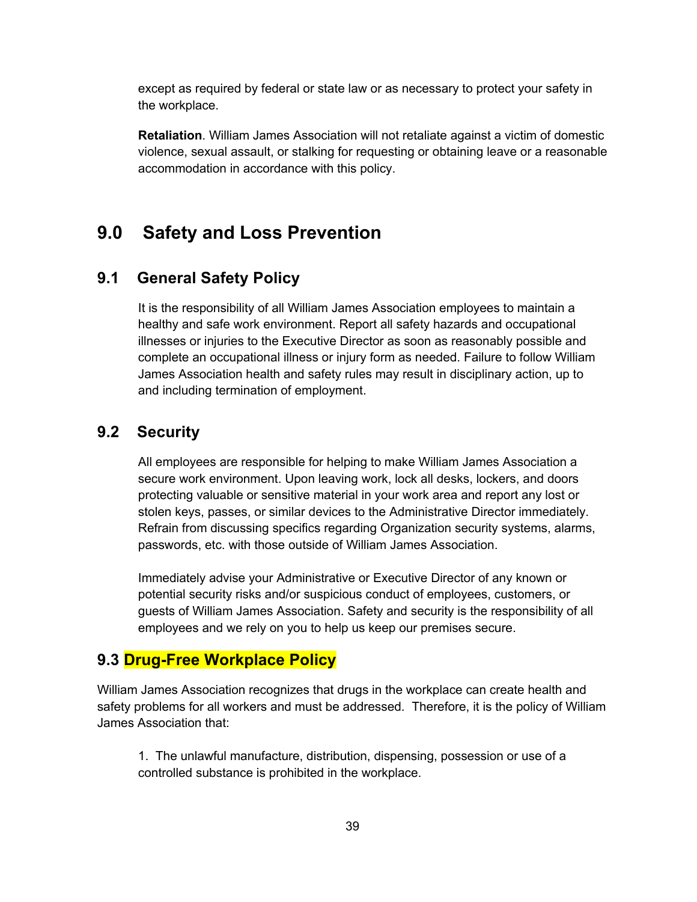except as required by federal or state law or as necessary to protect your safety in the workplace.

**Retaliation**. William James Association will not retaliate against a victim of domestic violence, sexual assault, or stalking for requesting or obtaining leave or a reasonable accommodation in accordance with this policy.

## **9.0 Safety and Loss Prevention**

### **9.1 General Safety Policy**

It is the responsibility of all William James Association employees to maintain a healthy and safe work environment. Report all safety hazards and occupational illnesses or injuries to the Executive Director as soon as reasonably possible and complete an occupational illness or injury form as needed. Failure to follow William James Association health and safety rules may result in disciplinary action, up to and including termination of employment.

### **9.2 Security**

All employees are responsible for helping to make William James Association a secure work environment. Upon leaving work, lock all desks, lockers, and doors protecting valuable or sensitive material in your work area and report any lost or stolen keys, passes, or similar devices to the Administrative Director immediately. Refrain from discussing specifics regarding Organization security systems, alarms, passwords, etc. with those outside of William James Association.

Immediately advise your Administrative or Executive Director of any known or potential security risks and/or suspicious conduct of employees, customers, or guests of William James Association. Safety and security is the responsibility of all employees and we rely on you to help us keep our premises secure.

#### **9.3 Drug-Free Workplace Policy**

William James Association recognizes that drugs in the workplace can create health and safety problems for all workers and must be addressed. Therefore, it is the policy of William James Association that:

1. The unlawful manufacture, distribution, dispensing, possession or use of a controlled substance is prohibited in the workplace.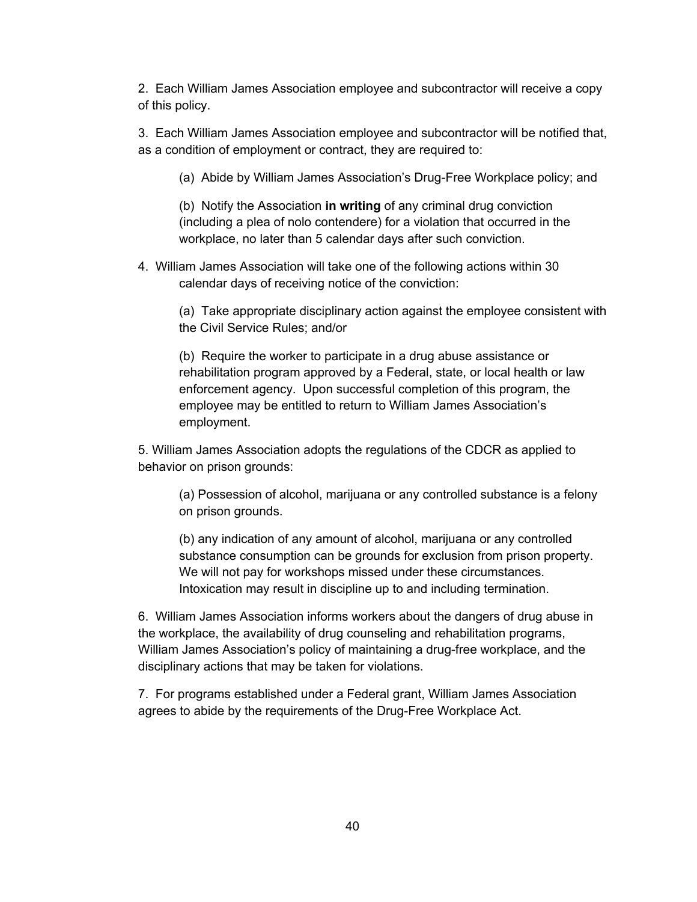2. Each William James Association employee and subcontractor will receive a copy of this policy.

3. Each William James Association employee and subcontractor will be notified that, as a condition of employment or contract, they are required to:

(a) Abide by William James Association's Drug-Free Workplace policy; and

(b) Notify the Association **in writing** of any criminal drug conviction (including a plea of nolo contendere) for a violation that occurred in the workplace, no later than 5 calendar days after such conviction.

4. William James Association will take one of the following actions within 30 calendar days of receiving notice of the conviction:

(a) Take appropriate disciplinary action against the employee consistent with the Civil Service Rules; and/or

(b) Require the worker to participate in a drug abuse assistance or rehabilitation program approved by a Federal, state, or local health or law enforcement agency. Upon successful completion of this program, the employee may be entitled to return to William James Association's employment.

5. William James Association adopts the regulations of the CDCR as applied to behavior on prison grounds:

(a) Possession of alcohol, marijuana or any controlled substance is a felony on prison grounds.

(b) any indication of any amount of alcohol, marijuana or any controlled substance consumption can be grounds for exclusion from prison property. We will not pay for workshops missed under these circumstances. Intoxication may result in discipline up to and including termination.

6. William James Association informs workers about the dangers of drug abuse in the workplace, the availability of drug counseling and rehabilitation programs, William James Association's policy of maintaining a drug-free workplace, and the disciplinary actions that may be taken for violations.

7. For programs established under a Federal grant, William James Association agrees to abide by the requirements of the Drug-Free Workplace Act.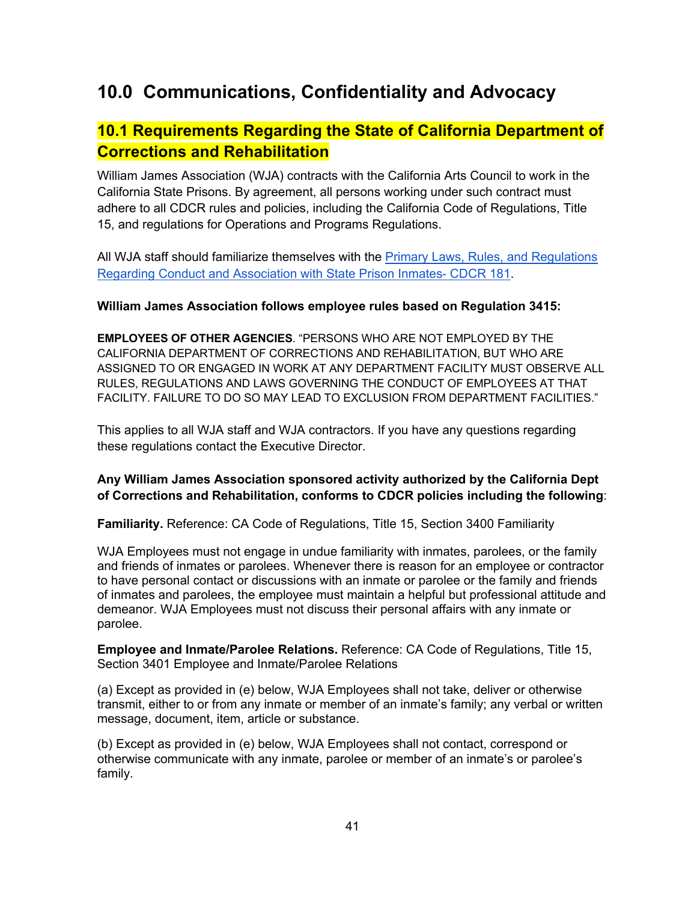# **10.0 Communications, Confidentiality and Advocacy**

### **10.1 Requirements Regarding the State of California Department of Corrections and Rehabilitation**

William James Association (WJA) contracts with the California Arts Council to work in the California State Prisons. By agreement, all persons working under such contract must adhere to all CDCR rules and policies, including the California Code of Regulations, Title 15, and regulations for Operations and Programs Regulations.

All WJA staff should familiarize themselves with the Primary Laws, Rules, and Regulations Regarding Conduct and Association with State Prison Inmates- CDCR 181.

#### **William James Association follows employee rules based on Regulation 3415:**

**EMPLOYEES OF OTHER AGENCIES**. "PERSONS WHO ARE NOT EMPLOYED BY THE CALIFORNIA DEPARTMENT OF CORRECTIONS AND REHABILITATION, BUT WHO ARE ASSIGNED TO OR ENGAGED IN WORK AT ANY DEPARTMENT FACILITY MUST OBSERVE ALL RULES, REGULATIONS AND LAWS GOVERNING THE CONDUCT OF EMPLOYEES AT THAT FACILITY. FAILURE TO DO SO MAY LEAD TO EXCLUSION FROM DEPARTMENT FACILITIES."

This applies to all WJA staff and WJA contractors. If you have any questions regarding these regulations contact the Executive Director.

#### **Any William James Association sponsored activity authorized by the California Dept of Corrections and Rehabilitation, conforms to CDCR policies including the following**:

**Familiarity.** Reference: CA Code of Regulations, Title 15, Section 3400 Familiarity

WJA Employees must not engage in undue familiarity with inmates, parolees, or the family and friends of inmates or parolees. Whenever there is reason for an employee or contractor to have personal contact or discussions with an inmate or parolee or the family and friends of inmates and parolees, the employee must maintain a helpful but professional attitude and demeanor. WJA Employees must not discuss their personal affairs with any inmate or parolee.

**Employee and Inmate/Parolee Relations.** Reference: CA Code of Regulations, Title 15, Section 3401 Employee and Inmate/Parolee Relations

(a) Except as provided in (e) below, WJA Employees shall not take, deliver or otherwise transmit, either to or from any inmate or member of an inmate's family; any verbal or written message, document, item, article or substance.

(b) Except as provided in (e) below, WJA Employees shall not contact, correspond or otherwise communicate with any inmate, parolee or member of an inmate's or parolee's family.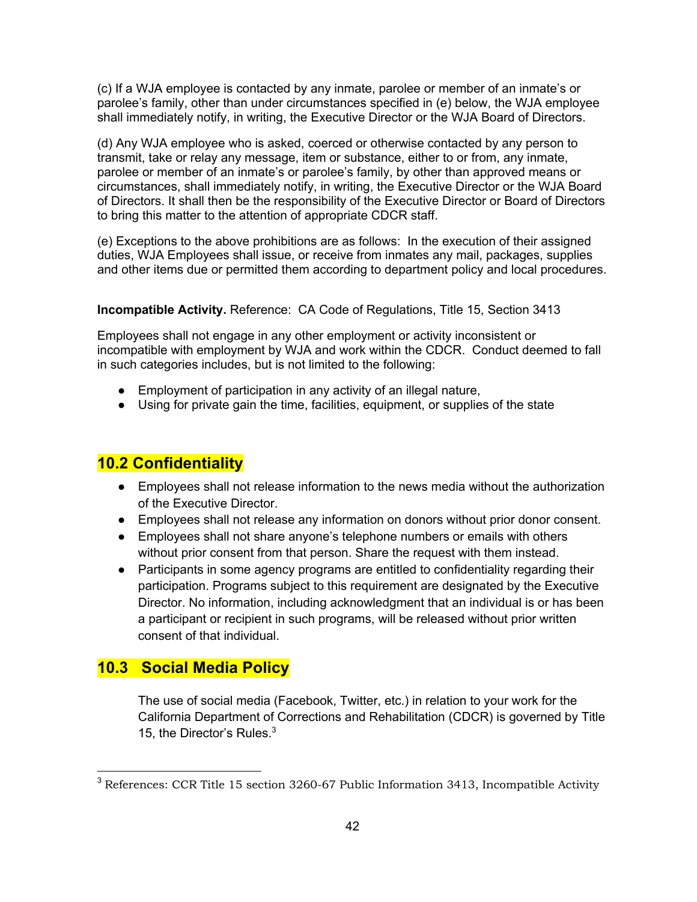(c) If a WJA employee is contacted by any inmate, parolee or member of an inmate's or parolee's family, other than under circumstances specified in (e) below, the WJA employee shall immediately notify, in writing, the Executive Director or the WJA Board of Directors.

(d) Any WJA employee who is asked, coerced or otherwise contacted by any person to transmit, take or relay any message, item or substance, either to or from, any inmate, parolee or member of an inmate's or parolee's family, by other than approved means or circumstances, shall immediately notify, in writing, the Executive Director or the WJA Board of Directors. It shall then be the responsibility of the Executive Director or Board of Directors to bring this matter to the attention of appropriate CDCR staff.

(e) Exceptions to the above prohibitions are as follows: In the execution of their assigned duties, WJA Employees shall issue, or receive from inmates any mail, packages, supplies and other items due or permitted them according to department policy and local procedures.

**Incompatible Activity.** Reference: CA Code of Regulations, Title 15, Section 3413

Employees shall not engage in any other employment or activity inconsistent or incompatible with employment by WJA and work within the CDCR. Conduct deemed to fall in such categories includes, but is not limited to the following:

- Employment of participation in any activity of an illegal nature,
- Using for private gain the time, facilities, equipment, or supplies of the state

### **10.2 Confidentiality**

- Employees shall not release information to the news media without the authorization of the Executive Director.
- Employees shall not release any information on donors without prior donor consent.
- Employees shall not share anyone's telephone numbers or emails with others without prior consent from that person. Share the request with them instead.
- Participants in some agency programs are entitled to confidentiality regarding their participation. Programs subject to this requirement are designated by the Executive Director. No information, including acknowledgment that an individual is or has been a participant or recipient in such programs, will be released without prior written consent of that individual.

### **10.3 Social Media Policy**

The use of social media (Facebook, Twitter, etc.) in relation to your work for the California Department of Corrections and Rehabilitation (CDCR) is governed by Title 15, the Director's Rules.<sup>3</sup>

<sup>&</sup>lt;sup>3</sup> References: CCR Title 15 section 3260-67 Public Information 3413, Incompatible Activity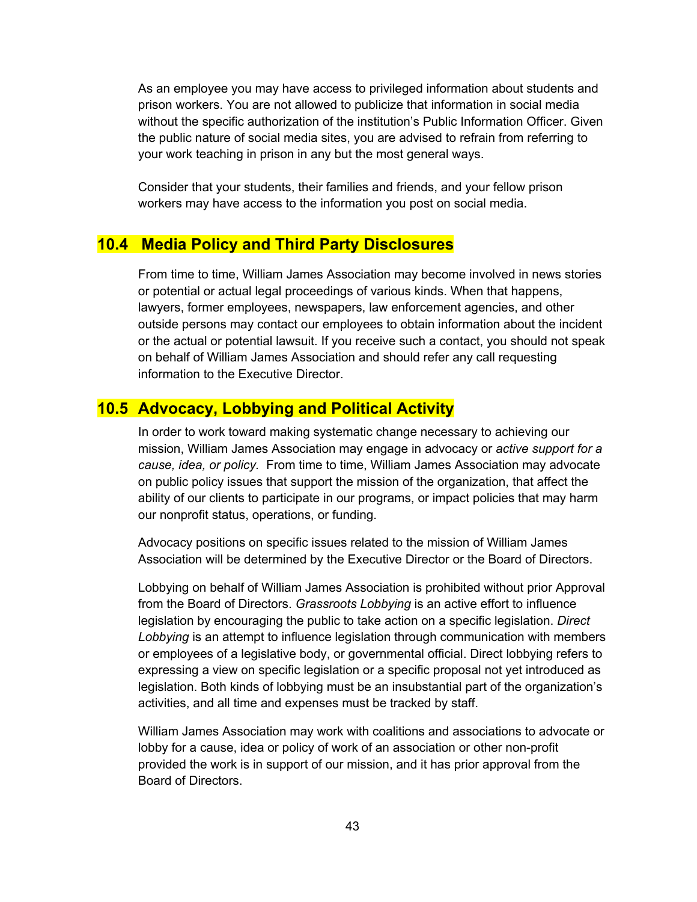As an employee you may have access to privileged information about students and prison workers. You are not allowed to publicize that information in social media without the specific authorization of the institution's Public Information Officer. Given the public nature of social media sites, you are advised to refrain from referring to your work teaching in prison in any but the most general ways.

Consider that your students, their families and friends, and your fellow prison workers may have access to the information you post on social media.

### **10.4 Media Policy and Third Party Disclosures**

From time to time, William James Association may become involved in news stories or potential or actual legal proceedings of various kinds. When that happens, lawyers, former employees, newspapers, law enforcement agencies, and other outside persons may contact our employees to obtain information about the incident or the actual or potential lawsuit. If you receive such a contact, you should not speak on behalf of William James Association and should refer any call requesting information to the Executive Director.

### **10.5 Advocacy, Lobbying and Political Activity**

In order to work toward making systematic change necessary to achieving our mission, William James Association may engage in advocacy or *active support for a cause, idea, or policy.* From time to time, William James Association may advocate on public policy issues that support the mission of the organization, that affect the ability of our clients to participate in our programs, or impact policies that may harm our nonprofit status, operations, or funding.

Advocacy positions on specific issues related to the mission of William James Association will be determined by the Executive Director or the Board of Directors.

Lobbying on behalf of William James Association is prohibited without prior Approval from the Board of Directors. *Grassroots Lobbying* is an active effort to influence legislation by encouraging the public to take action on a specific legislation. *Direct Lobbying* is an attempt to influence legislation through communication with members or employees of a legislative body, or governmental official. Direct lobbying refers to expressing a view on specific legislation or a specific proposal not yet introduced as legislation. Both kinds of lobbying must be an insubstantial part of the organization's activities, and all time and expenses must be tracked by staff.

William James Association may work with coalitions and associations to advocate or lobby for a cause, idea or policy of work of an association or other non-profit provided the work is in support of our mission, and it has prior approval from the Board of Directors.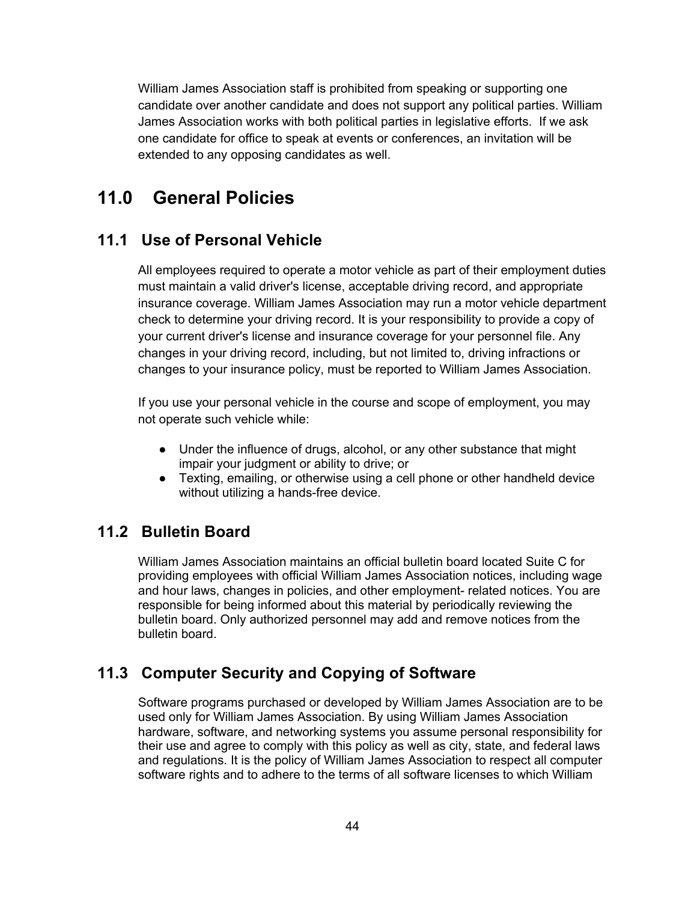William James Association staff is prohibited from speaking or supporting one candidate over another candidate and does not support any political parties. William James Association works with both political parties in legislative efforts. If we ask one candidate for office to speak at events or conferences, an invitation will be extended to any opposing candidates as well.

## **11.0 General Policies**

### **11.1 Use of Personal Vehicle**

All employees required to operate a motor vehicle as part of their employment duties must maintain a valid driver's license, acceptable driving record, and appropriate insurance coverage. William James Association may run a motor vehicle department check to determine your driving record. It is your responsibility to provide a copy of your current driver's license and insurance coverage for your personnel file. Any changes in your driving record, including, but not limited to, driving infractions or changes to your insurance policy, must be reported to William James Association.

If you use your personal vehicle in the course and scope of employment, you may not operate such vehicle while:

- Under the influence of drugs, alcohol, or any other substance that might impair your judgment or ability to drive; or
- Texting, emailing, or otherwise using a cell phone or other handheld device without utilizing a hands-free device.

### **11.2 Bulletin Board**

William James Association maintains an official bulletin board located Suite C for providing employees with official William James Association notices, including wage and hour laws, changes in policies, and other employment- related notices. You are responsible for being informed about this material by periodically reviewing the bulletin board. Only authorized personnel may add and remove notices from the bulletin board.

### **11.3 Computer Security and Copying of Software**

Software programs purchased or developed by William James Association are to be used only for William James Association. By using William James Association hardware, software, and networking systems you assume personal responsibility for their use and agree to comply with this policy as well as city, state, and federal laws and regulations. It is the policy of William James Association to respect all computer software rights and to adhere to the terms of all software licenses to which William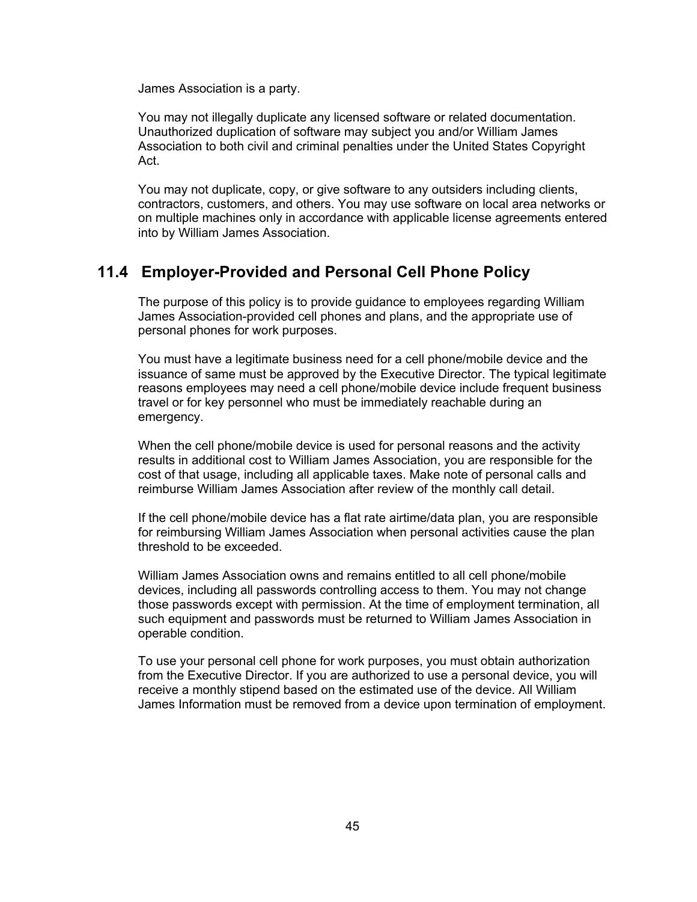James Association is a party.

You may not illegally duplicate any licensed software or related documentation. Unauthorized duplication of software may subject you and/or William James Association to both civil and criminal penalties under the United States Copyright Act.

You may not duplicate, copy, or give software to any outsiders including clients, contractors, customers, and others. You may use software on local area networks or on multiple machines only in accordance with applicable license agreements entered into by William James Association.

#### **11.4 Employer-Provided and Personal Cell Phone Policy**

The purpose of this policy is to provide guidance to employees regarding William James Association-provided cell phones and plans, and the appropriate use of personal phones for work purposes.

You must have a legitimate business need for a cell phone/mobile device and the issuance of same must be approved by the Executive Director. The typical legitimate reasons employees may need a cell phone/mobile device include frequent business travel or for key personnel who must be immediately reachable during an emergency.

When the cell phone/mobile device is used for personal reasons and the activity results in additional cost to William James Association, you are responsible for the cost of that usage, including all applicable taxes. Make note of personal calls and reimburse William James Association after review of the monthly call detail.

If the cell phone/mobile device has a flat rate airtime/data plan, you are responsible for reimbursing William James Association when personal activities cause the plan threshold to be exceeded.

William James Association owns and remains entitled to all cell phone/mobile devices, including all passwords controlling access to them. You may not change those passwords except with permission. At the time of employment termination, all such equipment and passwords must be returned to William James Association in operable condition.

To use your personal cell phone for work purposes, you must obtain authorization from the Executive Director. If you are authorized to use a personal device, you will receive a monthly stipend based on the estimated use of the device. All William James Information must be removed from a device upon termination of employment.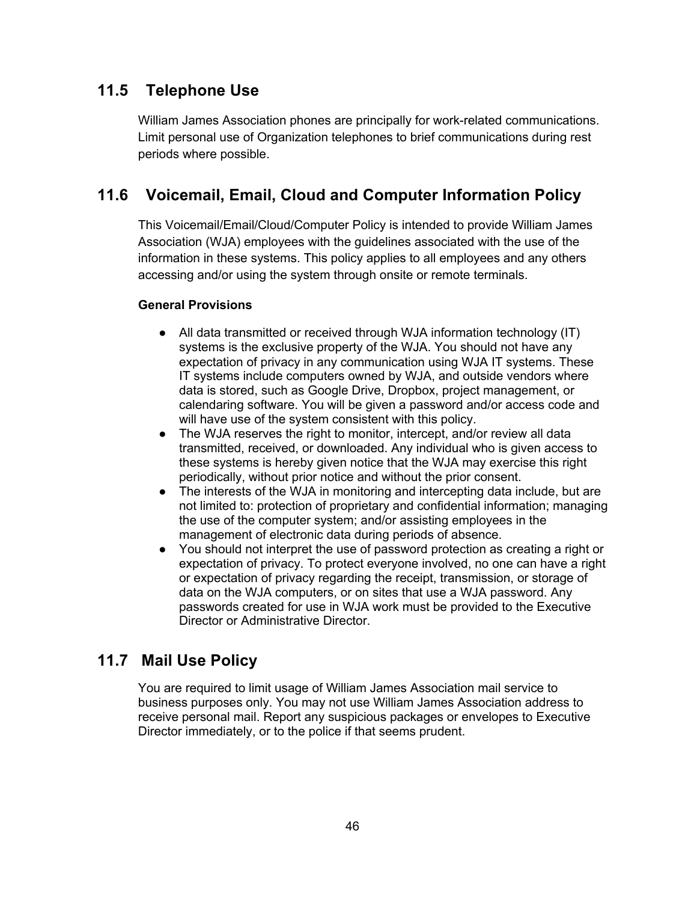### **11.5 Telephone Use**

William James Association phones are principally for work-related communications. Limit personal use of Organization telephones to brief communications during rest periods where possible.

### **11.6 Voicemail, Email, Cloud and Computer Information Policy**

This Voicemail/Email/Cloud/Computer Policy is intended to provide William James Association (WJA) employees with the guidelines associated with the use of the information in these systems. This policy applies to all employees and any others accessing and/or using the system through onsite or remote terminals.

#### **General Provisions**

- All data transmitted or received through WJA information technology (IT) systems is the exclusive property of the WJA. You should not have any expectation of privacy in any communication using WJA IT systems. These IT systems include computers owned by WJA, and outside vendors where data is stored, such as Google Drive, Dropbox, project management, or calendaring software. You will be given a password and/or access code and will have use of the system consistent with this policy.
- The WJA reserves the right to monitor, intercept, and/or review all data transmitted, received, or downloaded. Any individual who is given access to these systems is hereby given notice that the WJA may exercise this right periodically, without prior notice and without the prior consent.
- The interests of the WJA in monitoring and intercepting data include, but are not limited to: protection of proprietary and confidential information; managing the use of the computer system; and/or assisting employees in the management of electronic data during periods of absence.
- You should not interpret the use of password protection as creating a right or expectation of privacy. To protect everyone involved, no one can have a right or expectation of privacy regarding the receipt, transmission, or storage of data on the WJA computers, or on sites that use a WJA password. Any passwords created for use in WJA work must be provided to the Executive Director or Administrative Director.

### **11.7 Mail Use Policy**

You are required to limit usage of William James Association mail service to business purposes only. You may not use William James Association address to receive personal mail. Report any suspicious packages or envelopes to Executive Director immediately, or to the police if that seems prudent.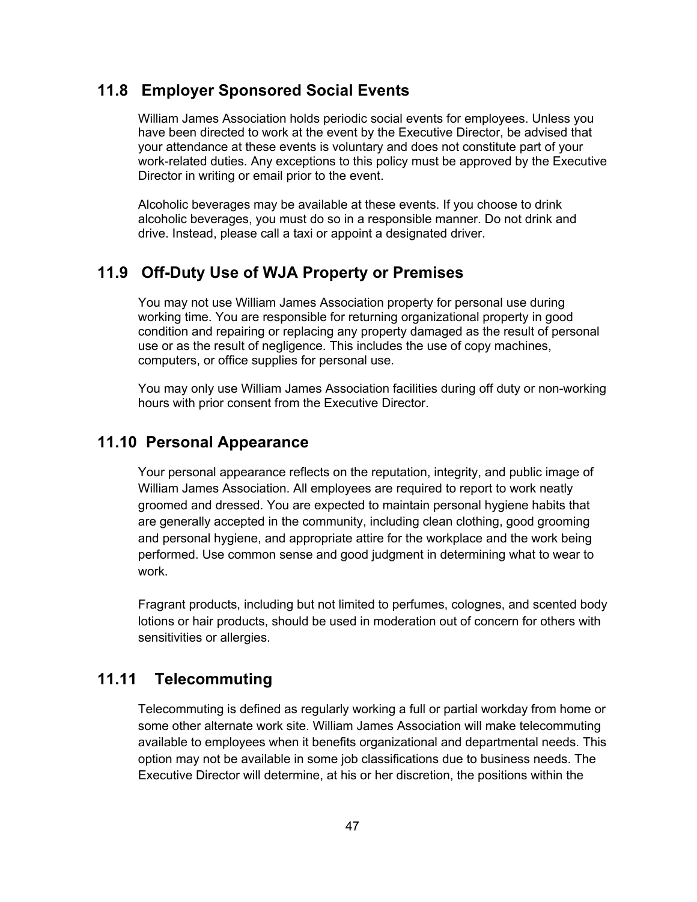#### **11.8 Employer Sponsored Social Events**

William James Association holds periodic social events for employees. Unless you have been directed to work at the event by the Executive Director, be advised that your attendance at these events is voluntary and does not constitute part of your work-related duties. Any exceptions to this policy must be approved by the Executive Director in writing or email prior to the event.

Alcoholic beverages may be available at these events. If you choose to drink alcoholic beverages, you must do so in a responsible manner. Do not drink and drive. Instead, please call a taxi or appoint a designated driver.

#### **11.9 Off-Duty Use of WJA Property or Premises**

You may not use William James Association property for personal use during working time. You are responsible for returning organizational property in good condition and repairing or replacing any property damaged as the result of personal use or as the result of negligence. This includes the use of copy machines, computers, or office supplies for personal use.

You may only use William James Association facilities during off duty or non-working hours with prior consent from the Executive Director.

### **11.10 Personal Appearance**

Your personal appearance reflects on the reputation, integrity, and public image of William James Association. All employees are required to report to work neatly groomed and dressed. You are expected to maintain personal hygiene habits that are generally accepted in the community, including clean clothing, good grooming and personal hygiene, and appropriate attire for the workplace and the work being performed. Use common sense and good judgment in determining what to wear to work.

Fragrant products, including but not limited to perfumes, colognes, and scented body lotions or hair products, should be used in moderation out of concern for others with sensitivities or allergies.

### **11.11 Telecommuting**

Telecommuting is defined as regularly working a full or partial workday from home or some other alternate work site. William James Association will make telecommuting available to employees when it benefits organizational and departmental needs. This option may not be available in some job classifications due to business needs. The Executive Director will determine, at his or her discretion, the positions within the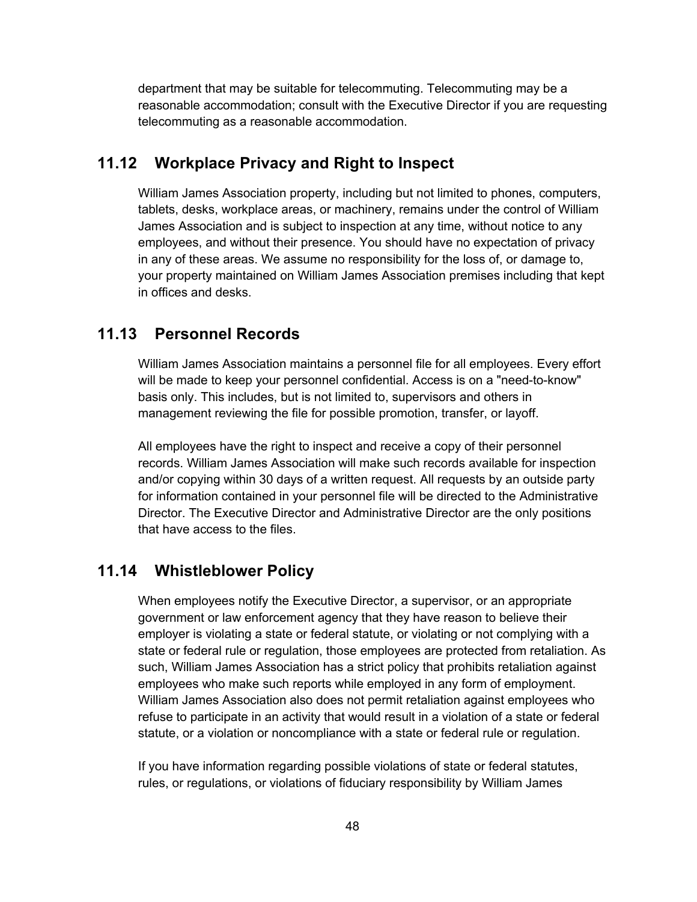department that may be suitable for telecommuting. Telecommuting may be a reasonable accommodation; consult with the Executive Director if you are requesting telecommuting as a reasonable accommodation.

#### **11.12 Workplace Privacy and Right to Inspect**

William James Association property, including but not limited to phones, computers, tablets, desks, workplace areas, or machinery, remains under the control of William James Association and is subject to inspection at any time, without notice to any employees, and without their presence. You should have no expectation of privacy in any of these areas. We assume no responsibility for the loss of, or damage to, your property maintained on William James Association premises including that kept in offices and desks.

### **11.13 Personnel Records**

William James Association maintains a personnel file for all employees. Every effort will be made to keep your personnel confidential. Access is on a "need-to-know" basis only. This includes, but is not limited to, supervisors and others in management reviewing the file for possible promotion, transfer, or layoff.

All employees have the right to inspect and receive a copy of their personnel records. William James Association will make such records available for inspection and/or copying within 30 days of a written request. All requests by an outside party for information contained in your personnel file will be directed to the Administrative Director. The Executive Director and Administrative Director are the only positions that have access to the files.

### **11.14 Whistleblower Policy**

When employees notify the Executive Director, a supervisor, or an appropriate government or law enforcement agency that they have reason to believe their employer is violating a state or federal statute, or violating or not complying with a state or federal rule or regulation, those employees are protected from retaliation. As such, William James Association has a strict policy that prohibits retaliation against employees who make such reports while employed in any form of employment. William James Association also does not permit retaliation against employees who refuse to participate in an activity that would result in a violation of a state or federal statute, or a violation or noncompliance with a state or federal rule or regulation.

If you have information regarding possible violations of state or federal statutes, rules, or regulations, or violations of fiduciary responsibility by William James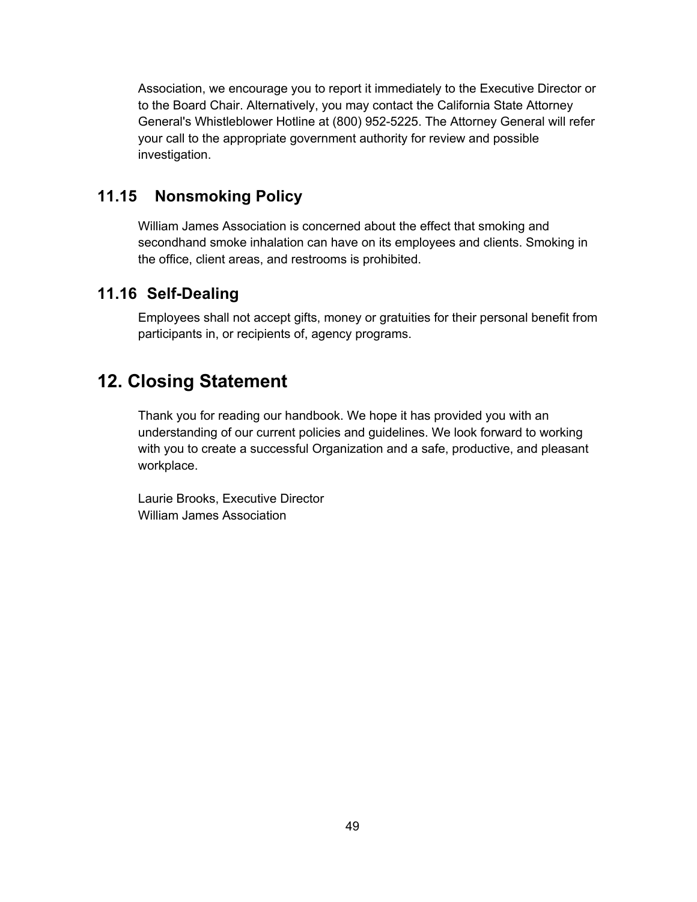Association, we encourage you to report it immediately to the Executive Director or to the Board Chair. Alternatively, you may contact the California State Attorney General's Whistleblower Hotline at (800) 952-5225. The Attorney General will refer your call to the appropriate government authority for review and possible investigation.

### **11.15 Nonsmoking Policy**

William James Association is concerned about the effect that smoking and secondhand smoke inhalation can have on its employees and clients. Smoking in the office, client areas, and restrooms is prohibited.

### **11.16 Self-Dealing**

Employees shall not accept gifts, money or gratuities for their personal benefit from participants in, or recipients of, agency programs.

# **12. Closing Statement**

Thank you for reading our handbook. We hope it has provided you with an understanding of our current policies and guidelines. We look forward to working with you to create a successful Organization and a safe, productive, and pleasant workplace.

Laurie Brooks, Executive Director William James Association